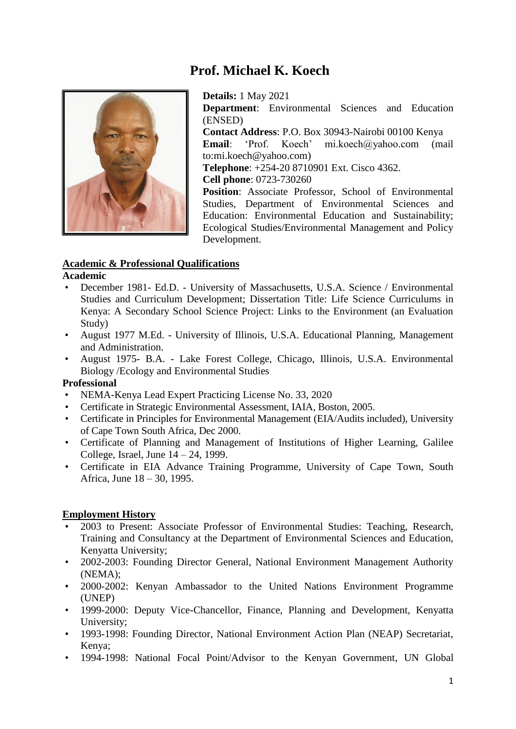# **Prof. Michael K. Koech**



**Details:** 1 May 2021 **Department**: Environmental Sciences and Education (ENSED) **Contact Address**: P.O. Box 30943-Nairobi 00100 Kenya **Email**: 'Prof. Koech' mi.koech@yahoo.com (mail to:mi.koech@yahoo.com) **Telephone**: +254-20 8710901 Ext. Cisco 4362. **Cell phone**: 0723-730260 **Position**: Associate Professor, School of Environmental Studies, Department of Environmental Sciences and Education: Environmental Education and Sustainability; Ecological Studies/Environmental Management and Policy Development.

## **Academic & Professional Qualifications**

#### **Academic**

- December 1981- Ed.D. University of Massachusetts, U.S.A. Science / Environmental Studies and Curriculum Development; Dissertation Title: Life Science Curriculums in Kenya: A Secondary School Science Project: Links to the Environment (an Evaluation Study)
- August 1977 M.Ed. University of Illinois, U.S.A. Educational Planning, Management and Administration.
- August 1975- B.A. Lake Forest College, Chicago, Illinois, U.S.A. Environmental Biology /Ecology and Environmental Studies

## **Professional**

- NEMA-Kenya Lead Expert Practicing License No. 33, 2020
- Certificate in Strategic Environmental Assessment, IAIA, Boston, 2005.
- Certificate in Principles for Environmental Management (EIA/Audits included), University of Cape Town South Africa, Dec 2000.
- Certificate of Planning and Management of Institutions of Higher Learning, Galilee College, Israel, June 14 – 24, 1999.
- Certificate in EIA Advance Training Programme, University of Cape Town, South Africa, June 18 – 30, 1995.

## **Employment History**

- 2003 to Present: Associate Professor of Environmental Studies: Teaching, Research, Training and Consultancy at the Department of Environmental Sciences and Education, Kenyatta University;
- 2002-2003: Founding Director General, National Environment Management Authority (NEMA);
- 2000-2002: Kenyan Ambassador to the United Nations Environment Programme (UNEP)
- 1999-2000: Deputy Vice-Chancellor, Finance, Planning and Development, Kenyatta University;
- 1993-1998: Founding Director, National Environment Action Plan (NEAP) Secretariat, Kenya;
- 1994-1998: National Focal Point/Advisor to the Kenyan Government, UN Global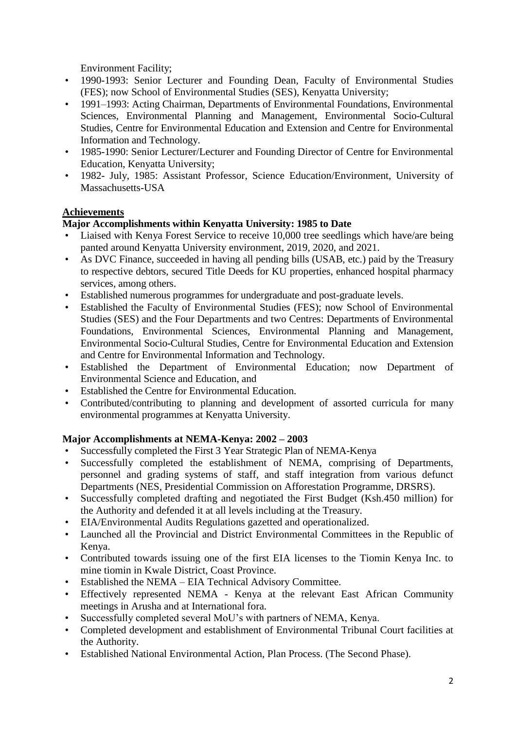Environment Facility;

- 1990-1993: Senior Lecturer and Founding Dean, Faculty of Environmental Studies (FES); now School of Environmental Studies (SES), Kenyatta University;
- 1991–1993: Acting Chairman, Departments of Environmental Foundations, Environmental Sciences, Environmental Planning and Management, Environmental Socio-Cultural Studies, Centre for Environmental Education and Extension and Centre for Environmental Information and Technology.
- 1985-1990: Senior Lecturer/Lecturer and Founding Director of Centre for Environmental Education, Kenyatta University;
- 1982- July, 1985: Assistant Professor, Science Education/Environment, University of Massachusetts-USA

## **Achievements**

## **Major Accomplishments within Kenyatta University: 1985 to Date**

- Liaised with Kenya Forest Service to receive 10,000 tree seedlings which have/are being panted around Kenyatta University environment, 2019, 2020, and 2021.
- As DVC Finance, succeeded in having all pending bills (USAB, etc.) paid by the Treasury to respective debtors, secured Title Deeds for KU properties, enhanced hospital pharmacy services, among others.
- Established numerous programmes for undergraduate and post-graduate levels.
- Established the Faculty of Environmental Studies (FES); now School of Environmental Studies (SES) and the Four Departments and two Centres: Departments of Environmental Foundations, Environmental Sciences, Environmental Planning and Management, Environmental Socio-Cultural Studies, Centre for Environmental Education and Extension and Centre for Environmental Information and Technology.
- Established the Department of Environmental Education; now Department of Environmental Science and Education, and
- Established the Centre for Environmental Education.
- Contributed/contributing to planning and development of assorted curricula for many environmental programmes at Kenyatta University.

# **Major Accomplishments at NEMA-Kenya: 2002 – 2003**

- Successfully completed the First 3 Year Strategic Plan of NEMA-Kenya
- Successfully completed the establishment of NEMA, comprising of Departments, personnel and grading systems of staff, and staff integration from various defunct Departments (NES, Presidential Commission on Afforestation Programme, DRSRS).
- Successfully completed drafting and negotiated the First Budget (Ksh.450 million) for the Authority and defended it at all levels including at the Treasury.
- EIA/Environmental Audits Regulations gazetted and operationalized.
- Launched all the Provincial and District Environmental Committees in the Republic of Kenya.
- Contributed towards issuing one of the first EIA licenses to the Tiomin Kenya Inc. to mine tiomin in Kwale District, Coast Province.
- Established the NEMA EIA Technical Advisory Committee.
- Effectively represented NEMA Kenya at the relevant East African Community meetings in Arusha and at International fora.
- Successfully completed several MoU's with partners of NEMA, Kenya.
- Completed development and establishment of Environmental Tribunal Court facilities at the Authority.
- Established National Environmental Action, Plan Process. (The Second Phase).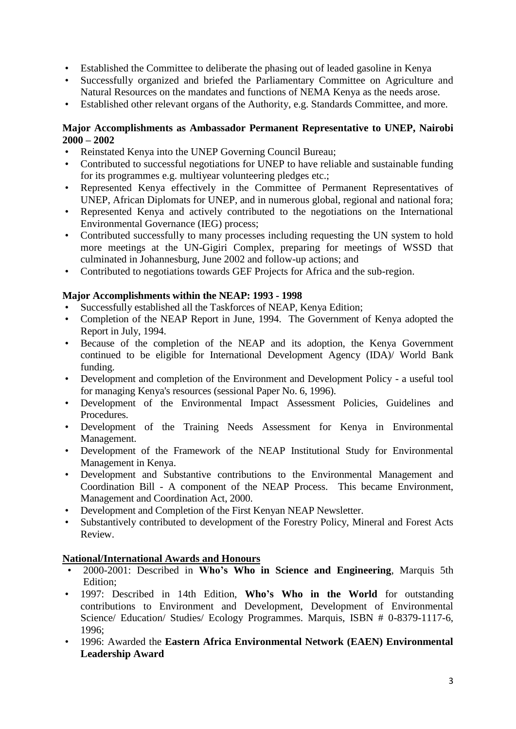- Established the Committee to deliberate the phasing out of leaded gasoline in Kenya
- Successfully organized and briefed the Parliamentary Committee on Agriculture and Natural Resources on the mandates and functions of NEMA Kenya as the needs arose.
- Established other relevant organs of the Authority, e.g. Standards Committee, and more.

## **Major Accomplishments as Ambassador Permanent Representative to UNEP, Nairobi 2000 – 2002**

- Reinstated Kenya into the UNEP Governing Council Bureau;
- Contributed to successful negotiations for UNEP to have reliable and sustainable funding for its programmes e.g. multiyear volunteering pledges etc.;
- Represented Kenya effectively in the Committee of Permanent Representatives of UNEP, African Diplomats for UNEP, and in numerous global, regional and national fora;
- Represented Kenya and actively contributed to the negotiations on the International Environmental Governance (IEG) process;
- Contributed successfully to many processes including requesting the UN system to hold more meetings at the UN-Gigiri Complex, preparing for meetings of WSSD that culminated in Johannesburg, June 2002 and follow-up actions; and
- Contributed to negotiations towards GEF Projects for Africa and the sub-region.

## **Major Accomplishments within the NEAP: 1993 - 1998**

- Successfully established all the Taskforces of NEAP, Kenya Edition;
- Completion of the NEAP Report in June, 1994. The Government of Kenya adopted the Report in July, 1994.
- Because of the completion of the NEAP and its adoption, the Kenya Government continued to be eligible for International Development Agency (IDA)/ World Bank funding.
- Development and completion of the Environment and Development Policy a useful tool for managing Kenya's resources (sessional Paper No. 6, 1996).
- Development of the Environmental Impact Assessment Policies, Guidelines and Procedures.
- Development of the Training Needs Assessment for Kenya in Environmental Management.
- Development of the Framework of the NEAP Institutional Study for Environmental Management in Kenya.
- Development and Substantive contributions to the Environmental Management and Coordination Bill - A component of the NEAP Process. This became Environment, Management and Coordination Act, 2000.
- Development and Completion of the First Kenyan NEAP Newsletter.
- Substantively contributed to development of the Forestry Policy, Mineral and Forest Acts Review.

## **National/International Awards and Honours**

- 2000-2001: Described in **Who's Who in Science and Engineering**, Marquis 5th Edition;
- 1997: Described in 14th Edition, **Who's Who in the World** for outstanding contributions to Environment and Development, Development of Environmental Science/ Education/ Studies/ Ecology Programmes. Marquis, ISBN # 0-8379-1117-6, 1996;
- 1996: Awarded the **Eastern Africa Environmental Network (EAEN) Environmental Leadership Award**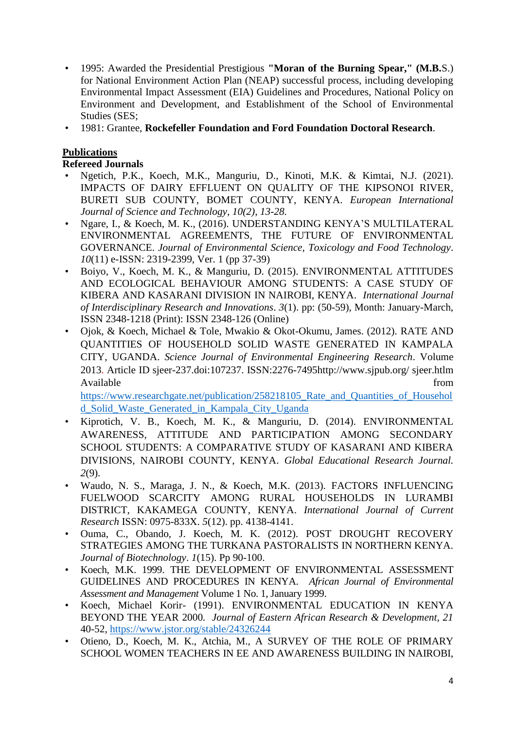- 1995: Awarded the Presidential Prestigious **"Moran of the Burning Spear," (M.B.**S.) for National Environment Action Plan (NEAP) successful process, including developing Environmental Impact Assessment (EIA) Guidelines and Procedures, National Policy on Environment and Development, and Establishment of the School of Environmental Studies (SES;
- 1981: Grantee, **Rockefeller Foundation and Ford Foundation Doctoral Research**.

# **Publications**

**Refereed Journals**

- Ngetich, P.K., Koech, M.K., Manguriu, D., Kinoti, M.K. & Kimtai, N.J. (2021). IMPACTS OF DAIRY EFFLUENT ON QUALITY OF THE KIPSONOI RIVER, BURETI SUB COUNTY, BOMET COUNTY, KENYA. *European International Journal of Science and Technology, 10(2), 13-28.*
- Ngare, I., & Koech, M. K., (2016). UNDERSTANDING KENYA'S MULTILATERAL ENVIRONMENTAL AGREEMENTS, THE FUTURE OF ENVIRONMENTAL GOVERNANCE. *Journal of Environmental Science, Toxicology and Food Technology*. *10*(11) e-ISSN: 2319-2399, Ver. 1 (pp 37-39)
- Boiyo, V., Koech, M. K., & Manguriu, D. (2015). ENVIRONMENTAL ATTITUDES AND ECOLOGICAL BEHAVIOUR AMONG STUDENTS: A CASE STUDY OF KIBERA AND KASARANI DIVISION IN NAIROBI, KENYA. *International Journal of Interdisciplinary Research and Innovations*. *3*(1). pp: (50-59), Month: January-March, ISSN 2348-1218 (Print): ISSN 2348-126 (Online)
- Ojok, & Koech, Michael & Tole, Mwakio & Okot-Okumu, James. (2012). RATE AND QUANTITIES OF HOUSEHOLD SOLID WASTE GENERATED IN KAMPALA CITY, UGANDA. *Science Journal of Environmental Engineering Research*. Volume 2013. Article ID sjeer-237.doi:107237. ISSN:2276-7495http://www.sjpub.org/ sjeer.htlm Available from the state of  $\mathbb{R}^n$  and  $\mathbb{R}^n$  from the state of  $\mathbb{R}^n$  from the state of  $\mathbb{R}^n$  from the state of  $\mathbb{R}^n$  from the state of  $\mathbb{R}^n$  from the state of  $\mathbb{R}^n$  from the state of  $\mathbb{$

https://www.researchgate.net/publication/258218105 Rate and Quantities of Househol [d\\_Solid\\_Waste\\_Generated\\_in\\_Kampala\\_City\\_Uganda](https://www.researchgate.net/publication/258218105_Rate_and_Quantities_of_Household_Solid_Waste_Generated_in_Kampala_City_Uganda)

- Kiprotich, V. B., Koech, M. K., & Manguriu, D. (2014). ENVIRONMENTAL AWARENESS, ATTITUDE AND PARTICIPATION AMONG SECONDARY SCHOOL STUDENTS: A COMPARATIVE STUDY OF KASARANI AND KIBERA DIVISIONS, NAIROBI COUNTY, KENYA. *Global Educational Research Journal. 2*(9).
- Waudo, N. S., Maraga, J. N., & Koech, M.K. (2013). FACTORS INFLUENCING FUELWOOD SCARCITY AMONG RURAL HOUSEHOLDS IN LURAMBI DISTRICT, KAKAMEGA COUNTY, KENYA. *International Journal of Current Research* ISSN: 0975-833X. *5*(12). pp. 4138-4141.
- Ouma, C., Obando, J. Koech, M. K. (2012). POST DROUGHT RECOVERY STRATEGIES AMONG THE TURKANA PASTORALISTS IN NORTHERN KENYA. *Journal of Biotechnology*. *1*(15). Pp 90-100.
- Koech, M.K. 1999. THE DEVELOPMENT OF ENVIRONMENTAL ASSESSMENT GUIDELINES AND PROCEDURES IN KENYA. *African Journal of Environmental Assessment and Management* Volume 1 No. 1, January 1999.
- Koech, Michael Korir- (1991). ENVIRONMENTAL EDUCATION IN KENYA BEYOND THE YEAR 2000*. Journal of Eastern African Research & Development, 21* 40-52,<https://www.jstor.org/stable/24326244>
- Otieno, D., Koech, M. K., Atchia, M., A SURVEY OF THE ROLE OF PRIMARY SCHOOL WOMEN TEACHERS IN EE AND AWARENESS BUILDING IN NAIROBI,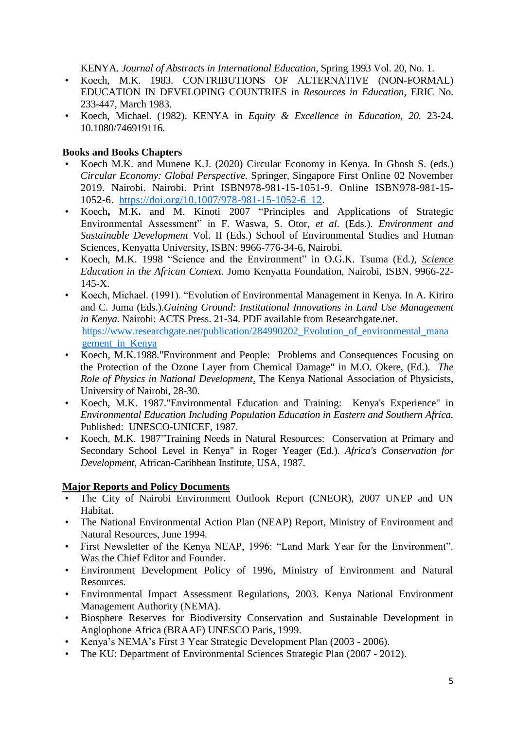KENYA. *Journal of Abstracts in International Education*, Spring 1993 Vol. 20, No. 1.

- Koech, M.K. 1983. CONTRIBUTIONS OF ALTERNATIVE (NON-FORMAL) EDUCATION IN DEVELOPING COUNTRIES in *Resources in Education*, ERIC No. 233-447, March 1983.
- Koech, Michael. (1982). KENYA in *Equity & Excellence in Education, 20.* 23-24. 10.1080/746919116.

## **Books and Books Chapters**

- Koech M.K. and Munene K.J. (2020) Circular Economy in Kenya. In Ghosh S. (eds.) *Circular Economy: Global Perspective.* Springer, Singapore First Online 02 November 2019. Nairobi. Nairobi. Print ISBN978-981-15-1051-9. Online ISBN978-981-15- 1052-6. [https://doi.org/10.1007/978-981-15-1052-6\\_12.](https://doi.org/10.1007/978-981-15-1052-6_12)
- Koech**,** M.K**.** and M. Kinoti 2007 "Principles and Applications of Strategic Environmental Assessment" in F. Waswa, S. Otor, *et al*. (Eds.). *Environment and Sustainable Development* Vol. II (Eds.) School of Environmental Studies and Human Sciences, Kenyatta University, ISBN: 9966-776**-**34-6, Nairobi.
- Koech, M.K. 1998 "Science and the Environment" in O.G.K. Tsuma (Ed*.), Science Education in the African Context.* Jomo Kenyatta Foundation, Nairobi, ISBN. 9966-22- 145-X.
- Koech, Michael. (1991). "Evolution of Environmental Management in Kenya. In A. Kiriro and C. Juma (Eds.).*Gaining Ground: Institutional Innovations in Land Use Management in Kenya.* Nairobi: ACTS Press. 21-34. PDF available from Researchgate.net. [https://www.researchgate.net/publication/284990202\\_Evolution\\_of\\_environmental\\_mana](https://www.researchgate.net/publication/284990202_Evolution_of_environmental_management_in_Kenya) [gement\\_in\\_Kenya](https://www.researchgate.net/publication/284990202_Evolution_of_environmental_management_in_Kenya)
- Koech, M.K.1988."Environment and People: Problems and Consequences Focusing on the Protection of the Ozone Layer from Chemical Damage" in M.O. Okere, (Ed.). *The Role of Physics in National Development*. The Kenya National Association of Physicists, University of Nairobi, 28-30.
- Koech, M.K. 1987."Environmental Education and Training: Kenya's Experience" in *Environmental Education Including Population Education in Eastern and Southern Africa.* Published: UNESCO-UNICEF, 1987.
- Koech, M.K. 1987"Training Needs in Natural Resources: Conservation at Primary and Secondary School Level in Kenya" in Roger Yeager (Ed.). *Africa's Conservation for Development*, African-Caribbean Institute, USA, 1987.

## **Major Reports and Policy Documents**

- The City of Nairobi Environment Outlook Report (CNEOR), 2007 UNEP and UN Habitat.
- The National Environmental Action Plan (NEAP) Report, Ministry of Environment and Natural Resources, June 1994.
- First Newsletter of the Kenya NEAP, 1996: "Land Mark Year for the Environment". Was the Chief Editor and Founder.
- Environment Development Policy of 1996, Ministry of Environment and Natural Resources.
- Environmental Impact Assessment Regulations, 2003. Kenya National Environment Management Authority (NEMA).
- Biosphere Reserves for Biodiversity Conservation and Sustainable Development in Anglophone Africa (BRAAF) UNESCO Paris, 1999.
- Kenya's NEMA's First 3 Year Strategic Development Plan (2003 2006).
- The KU: Department of Environmental Sciences Strategic Plan (2007 2012).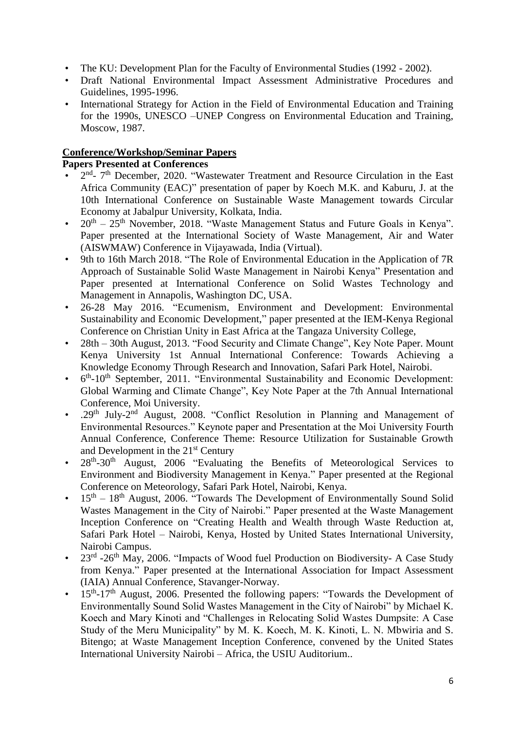- The KU: Development Plan for the Faculty of Environmental Studies (1992 2002).
- Draft National Environmental Impact Assessment Administrative Procedures and Guidelines, 1995-1996.
- International Strategy for Action in the Field of Environmental Education and Training for the 1990s, UNESCO –UNEP Congress on Environmental Education and Training, Moscow, 1987.

## **Conference/Workshop/Seminar Papers**

**Papers Presented at Conferences**

- $2<sup>nd</sup>$  7<sup>th</sup> December, 2020. "Wastewater Treatment and Resource Circulation in the East Africa Community (EAC)" presentation of paper by Koech M.K. and Kaburu, J. at the 10th International Conference on Sustainable Waste Management towards Circular Economy at Jabalpur University, Kolkata, India.
- $20<sup>th</sup> 25<sup>th</sup>$  November, 2018. "Waste Management Status and Future Goals in Kenya". Paper presented at the International Society of Waste Management, Air and Water (AISWMAW) Conference in Vijayawada, India (Virtual).
- 9th to 16th March 2018. "The Role of Environmental Education in the Application of 7R Approach of Sustainable Solid Waste Management in Nairobi Kenya" Presentation and Paper presented at International Conference on Solid Wastes Technology and Management in Annapolis, Washington DC, USA.
- 26-28 May 2016. "Ecumenism, Environment and Development: Environmental Sustainability and Economic Development," paper presented at the IEM-Kenya Regional Conference on Christian Unity in East Africa at the Tangaza University College,
- 28th 30th August, 2013. "Food Security and Climate Change", Key Note Paper. Mount Kenya University 1st Annual International Conference: Towards Achieving a Knowledge Economy Through Research and Innovation, Safari Park Hotel, Nairobi.
- $6<sup>th</sup> 10<sup>th</sup>$  September, 2011. "Environmental Sustainability and Economic Development: Global Warming and Climate Change", Key Note Paper at the 7th Annual International Conference, Moi University.
- . . 29<sup>th</sup> July-2<sup>nd</sup> August, 2008. "Conflict Resolution in Planning and Management of Environmental Resources." Keynote paper and Presentation at the Moi University Fourth Annual Conference, Conference Theme: Resource Utilization for Sustainable Growth and Development in the 21<sup>st</sup> Century
- 28<sup>th</sup>-30<sup>th</sup> August, 2006 "Evaluating the Benefits of Meteorological Services to Environment and Biodiversity Management in Kenya." Paper presented at the Regional Conference on Meteorology, Safari Park Hotel, Nairobi, Kenya.
- $15<sup>th</sup> 18<sup>th</sup>$  August, 2006. "Towards The Development of Environmentally Sound Solid Wastes Management in the City of Nairobi." Paper presented at the Waste Management Inception Conference on "Creating Health and Wealth through Waste Reduction at, Safari Park Hotel – Nairobi, Kenya, Hosted by United States International University, Nairobi Campus.
- $23<sup>rd</sup>$  -26<sup>th</sup> May, 2006. "Impacts of Wood fuel Production on Biodiversity- A Case Study from Kenya." Paper presented at the International Association for Impact Assessment (IAIA) Annual Conference, Stavanger-Norway.
- $\cdot$  15<sup>th</sup>-17<sup>th</sup> August, 2006. Presented the following papers: "Towards the Development of Environmentally Sound Solid Wastes Management in the City of Nairobi" by Michael K. Koech and Mary Kinoti and "Challenges in Relocating Solid Wastes Dumpsite: A Case Study of the Meru Municipality" by M. K. Koech, M. K. Kinoti, L. N. Mbwiria and S. Bitengo; at Waste Management Inception Conference, convened by the United States International University Nairobi – Africa, the USIU Auditorium..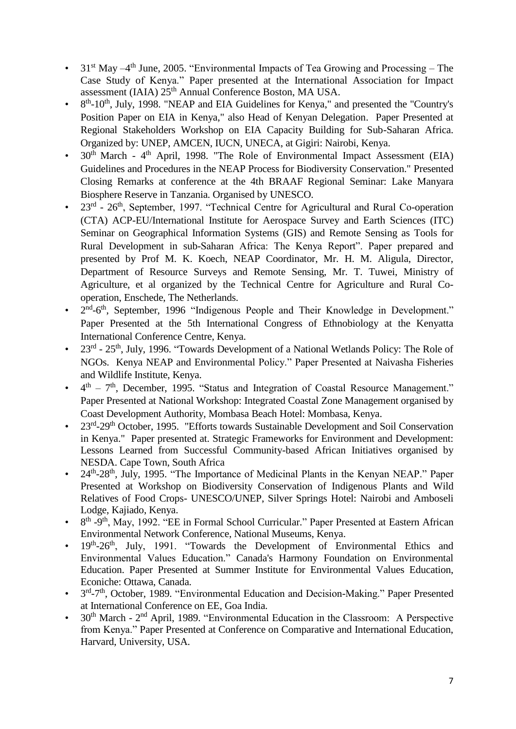- 31<sup>st</sup> May  $-4$ <sup>th</sup> June, 2005. "Environmental Impacts of Tea Growing and Processing The Case Study of Kenya." Paper presented at the International Association for Impact assessment (IAIA) 25th Annual Conference Boston, MA USA.
- $\bullet$ <sup>th</sup>-10<sup>th</sup>, July, 1998. "NEAP and EIA Guidelines for Kenya," and presented the "Country's Position Paper on EIA in Kenya," also Head of Kenyan Delegation. Paper Presented at Regional Stakeholders Workshop on EIA Capacity Building for Sub-Saharan Africa. Organized by: UNEP, AMCEN, IUCN, UNECA, at Gigiri: Nairobi, Kenya.
- 30<sup>th</sup> March 4<sup>th</sup> April, 1998. "The Role of Environmental Impact Assessment (EIA) Guidelines and Procedures in the NEAP Process for Biodiversity Conservation." Presented Closing Remarks at conference at the 4th BRAAF Regional Seminar: Lake Manyara Biosphere Reserve in Tanzania. Organised by UNESCO.
- $\cdot$  23<sup>rd</sup> 26<sup>th</sup>, September, 1997. "Technical Centre for Agricultural and Rural Co-operation (CTA) ACP-EU/International Institute for Aerospace Survey and Earth Sciences (ITC) Seminar on Geographical Information Systems (GIS) and Remote Sensing as Tools for Rural Development in sub-Saharan Africa: The Kenya Report". Paper prepared and presented by Prof M. K. Koech, NEAP Coordinator, Mr. H. M. Aligula, Director, Department of Resource Surveys and Remote Sensing, Mr. T. Tuwei, Ministry of Agriculture, et al organized by the Technical Centre for Agriculture and Rural Cooperation, Enschede, The Netherlands.
- $\bullet$ nd-6<sup>th</sup>, September, 1996 "Indigenous People and Their Knowledge in Development." Paper Presented at the 5th International Congress of Ethnobiology at the Kenyatta International Conference Centre, Kenya.
- $\cdot$  23<sup>rd</sup> 25<sup>th</sup>, July, 1996. "Towards Development of a National Wetlands Policy: The Role of NGOs. Kenya NEAP and Environmental Policy." Paper Presented at Naivasha Fisheries and Wildlife Institute, Kenya.
- $\bullet$  $t<sup>th</sup>$  – 7<sup>th</sup>, December, 1995. "Status and Integration of Coastal Resource Management." Paper Presented at National Workshop: Integrated Coastal Zone Management organised by Coast Development Authority, Mombasa Beach Hotel: Mombasa, Kenya.
- 23<sup>rd</sup>-29<sup>th</sup> October, 1995. "Efforts towards Sustainable Development and Soil Conservation in Kenya." Paper presented at. Strategic Frameworks for Environment and Development: Lessons Learned from Successful Community-based African Initiatives organised by NESDA. Cape Town, South Africa
- 24<sup>th</sup>-28<sup>th</sup>, July, 1995. "The Importance of Medicinal Plants in the Kenyan NEAP." Paper Presented at Workshop on Biodiversity Conservation of Indigenous Plants and Wild Relatives of Food Crops- UNESCO/UNEP, Silver Springs Hotel: Nairobi and Amboseli Lodge, Kajiado, Kenya.
- $\bullet$ th -9<sup>th</sup>, May, 1992. "EE in Formal School Curricular." Paper Presented at Eastern African Environmental Network Conference, National Museums, Kenya.
- 19<sup>th</sup>-26<sup>th</sup>, July, 1991. "Towards the Development of Environmental Ethics and Environmental Values Education." Canada's Harmony Foundation on Environmental Education. Paper Presented at Summer Institute for Environmental Values Education, Econiche: Ottawa, Canada.
- $\bullet$ <sup>rd</sup>-7<sup>th</sup>, October, 1989. "Environmental Education and Decision-Making." Paper Presented at International Conference on EE, Goa India.
- 30<sup>th</sup> March  $2<sup>nd</sup>$  April, 1989. "Environmental Education in the Classroom: A Perspective from Kenya." Paper Presented at Conference on Comparative and International Education, Harvard, University, USA.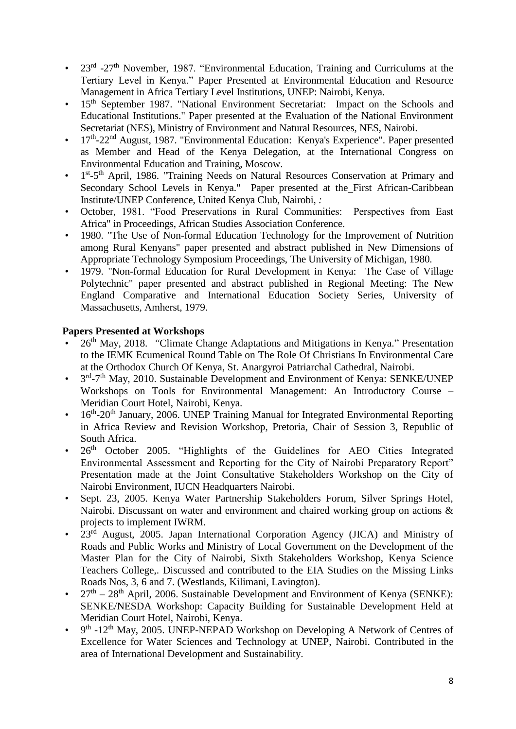- 23<sup>rd</sup> -27<sup>th</sup> November, 1987. "Environmental Education, Training and Curriculums at the Tertiary Level in Kenya." Paper Presented at Environmental Education and Resource Management in Africa Tertiary Level Institutions, UNEP: Nairobi, Kenya.
- 15<sup>th</sup> September 1987. "National Environment Secretariat: Impact on the Schools and Educational Institutions." Paper presented at the Evaluation of the National Environment Secretariat (NES), Ministry of Environment and Natural Resources, NES, Nairobi.
- 17<sup>th</sup>-22<sup>nd</sup> August, 1987. "Environmental Education: Kenya's Experience". Paper presented as Member and Head of the Kenya Delegation, at the International Congress on Environmental Education and Training, Moscow.
- 1<sup>st</sup>-5<sup>th</sup> April, 1986. "Training Needs on Natural Resources Conservation at Primary and Secondary School Levels in Kenya." Paper presented at the First African-Caribbean Institute/UNEP Conference, United Kenya Club, Nairobi, *:*
- October, 1981. "Food Preservations in Rural Communities: Perspectives from East Africa" in Proceedings, African Studies Association Conference.
- 1980. "The Use of Non-formal Education Technology for the Improvement of Nutrition among Rural Kenyans" paper presented and abstract published in New Dimensions of Appropriate Technology Symposium Proceedings, The University of Michigan, 1980.
- 1979. "Non-formal Education for Rural Development in Kenya: The Case of Village Polytechnic" paper presented and abstract published in Regional Meeting: The New England Comparative and International Education Society Series, University of Massachusetts, Amherst, 1979.

## **Papers Presented at Workshops**

- 26<sup>th</sup> May, 2018. *"Climate Change Adaptations and Mitigations in Kenya." Presentation* to the IEMK Ecumenical Round Table on The Role Of Christians In Environmental Care at the Orthodox Church Of Kenya, St. Anargyroi Patriarchal Cathedral, Nairobi.
- 3<sup>rd</sup>-7<sup>th</sup> May, 2010. Sustainable Development and Environment of Kenya: SENKE/UNEP Workshops on Tools for Environmental Management: An Introductory Course – Meridian Court Hotel, Nairobi, Kenya.
- 16<sup>th</sup>-20<sup>th</sup> January, 2006. UNEP Training Manual for Integrated Environmental Reporting in Africa Review and Revision Workshop, Pretoria, Chair of Session 3, Republic of South Africa.
- 26<sup>th</sup> October 2005. "Highlights of the Guidelines for AEO Cities Integrated Environmental Assessment and Reporting for the City of Nairobi Preparatory Report" Presentation made at the Joint Consultative Stakeholders Workshop on the City of Nairobi Environment, IUCN Headquarters Nairobi.
- Sept. 23, 2005. Kenya Water Partnership Stakeholders Forum, Silver Springs Hotel, Nairobi. Discussant on water and environment and chaired working group on actions & projects to implement IWRM.
- 23<sup>rd</sup> August, 2005. Japan International Corporation Agency (JICA) and Ministry of Roads and Public Works and Ministry of Local Government on the Development of the Master Plan for the City of Nairobi, Sixth Stakeholders Workshop, Kenya Science Teachers College,. Discussed and contributed to the EIA Studies on the Missing Links Roads Nos, 3, 6 and 7. (Westlands, Kilimani, Lavington).
- $27<sup>th</sup> 28<sup>th</sup>$  April, 2006. Sustainable Development and Environment of Kenya (SENKE): SENKE/NESDA Workshop: Capacity Building for Sustainable Development Held at Meridian Court Hotel, Nairobi, Kenya.
- $\bullet$ th -12<sup>th</sup> May, 2005. UNEP-NEPAD Workshop on Developing A Network of Centres of Excellence for Water Sciences and Technology at UNEP, Nairobi. Contributed in the area of International Development and Sustainability.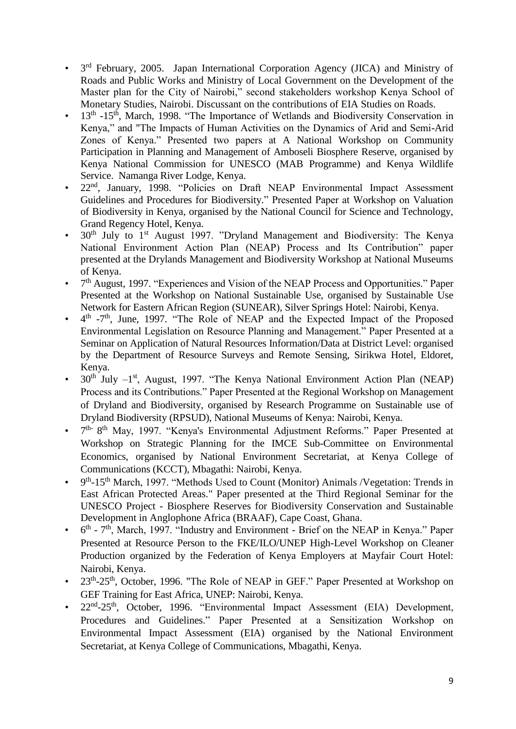- 3 rd February, 2005. Japan International Corporation Agency (JICA) and Ministry of Roads and Public Works and Ministry of Local Government on the Development of the Master plan for the City of Nairobi," second stakeholders workshop Kenya School of Monetary Studies, Nairobi. Discussant on the contributions of EIA Studies on Roads.
- 13<sup>th</sup> -15<sup>th</sup>, March, 1998. "The Importance of Wetlands and Biodiversity Conservation in Kenya," and "The Impacts of Human Activities on the Dynamics of Arid and Semi-Arid Zones of Kenya." Presented two papers at A National Workshop on Community Participation in Planning and Management of Amboseli Biosphere Reserve, organised by Kenya National Commission for UNESCO (MAB Programme) and Kenya Wildlife Service. Namanga River Lodge, Kenya.
- 22<sup>nd</sup>, January, 1998. "Policies on Draft NEAP Environmental Impact Assessment Guidelines and Procedures for Biodiversity." Presented Paper at Workshop on Valuation of Biodiversity in Kenya, organised by the National Council for Science and Technology, Grand Regency Hotel, Kenya.
- $30<sup>th</sup>$  July to 1<sup>st</sup> August 1997. "Dryland Management and Biodiversity: The Kenya National Environment Action Plan (NEAP) Process and Its Contribution" paper presented at the Drylands Management and Biodiversity Workshop at National Museums of Kenya.
- 7<sup>th</sup> August, 1997. "Experiences and Vision of the NEAP Process and Opportunities." Paper Presented at the Workshop on National Sustainable Use, organised by Sustainable Use Network for Eastern African Region (SUNEAR), Silver Springs Hotel: Nairobi, Kenya.
- $\bullet$  $<sup>th</sup>$  -7<sup>th</sup>, June, 1997. "The Role of NEAP and the Expected Impact of the Proposed</sup> Environmental Legislation on Resource Planning and Management." Paper Presented at a Seminar on Application of Natural Resources Information/Data at District Level: organised by the Department of Resource Surveys and Remote Sensing, Sirikwa Hotel, Eldoret, Kenya.
- 30<sup>th</sup> July  $-1$ <sup>st</sup>, August, 1997. "The Kenya National Environment Action Plan (NEAP) Process and its Contributions." Paper Presented at the Regional Workshop on Management of Dryland and Biodiversity, organised by Research Programme on Sustainable use of Dryland Biodiversity (RPSUD), National Museums of Kenya: Nairobi, Kenya.
- 7 th- 8<sup>th</sup> May, 1997. "Kenya's Environmental Adjustment Reforms." Paper Presented at Workshop on Strategic Planning for the IMCE Sub-Committee on Environmental Economics, organised by National Environment Secretariat, at Kenya College of Communications (KCCT), Mbagathi: Nairobi, Kenya.
- $\bullet$ th-15<sup>th</sup> March, 1997. "Methods Used to Count (Monitor) Animals /Vegetation: Trends in East African Protected Areas." Paper presented at the Third Regional Seminar for the UNESCO Project - Biosphere Reserves for Biodiversity Conservation and Sustainable Development in Anglophone Africa (BRAAF), Cape Coast, Ghana.
- 6 <sup>th</sup> - 7<sup>th</sup>, March, 1997. "Industry and Environment - Brief on the NEAP in Kenya." Paper Presented at Resource Person to the FKE/ILO/UNEP High-Level Workshop on Cleaner Production organized by the Federation of Kenya Employers at Mayfair Court Hotel: Nairobi, Kenya.
- $\cdot$  23<sup>th</sup>-25<sup>th</sup>, October, 1996. "The Role of NEAP in GEF." Paper Presented at Workshop on GEF Training for East Africa, UNEP: Nairobi, Kenya.
- 22<sup>nd</sup>-25<sup>th</sup>, October, 1996. "Environmental Impact Assessment (EIA) Development, Procedures and Guidelines." Paper Presented at a Sensitization Workshop on Environmental Impact Assessment (EIA) organised by the National Environment Secretariat, at Kenya College of Communications, Mbagathi, Kenya.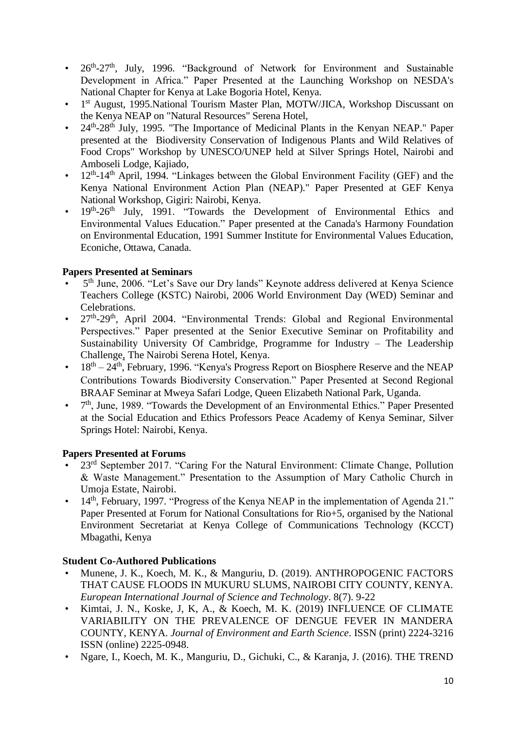- 26<sup>th</sup>-27<sup>th</sup>, July, 1996. "Background of Network for Environment and Sustainable Development in Africa." Paper Presented at the Launching Workshop on NESDA's National Chapter for Kenya at Lake Bogoria Hotel, Kenya.
- 1<sup>st</sup> August, 1995.National Tourism Master Plan, MOTW/JICA, Workshop Discussant on the Kenya NEAP on "Natural Resources" Serena Hotel,
- 24<sup>th</sup>-28<sup>th</sup> July, 1995. "The Importance of Medicinal Plants in the Kenyan NEAP." Paper presented at the Biodiversity Conservation of Indigenous Plants and Wild Relatives of Food Crops" Workshop by UNESCO/UNEP held at Silver Springs Hotel, Nairobi and Amboseli Lodge, Kajiado,
- $\cdot$  12<sup>th</sup>-14<sup>th</sup> April, 1994. "Linkages between the Global Environment Facility (GEF) and the Kenya National Environment Action Plan (NEAP)." Paper Presented at GEF Kenya National Workshop, Gigiri: Nairobi, Kenya.
- 19<sup>th</sup>-26<sup>th</sup> July, 1991. "Towards the Development of Environmental Ethics and Environmental Values Education." Paper presented at the Canada's Harmony Foundation on Environmental Education, 1991 Summer Institute for Environmental Values Education, Econiche, Ottawa, Canada.

## **Papers Presented at Seminars**

- 5<sup>th</sup> June, 2006. "Let's Save our Dry lands" Keynote address delivered at Kenya Science Teachers College (KSTC) Nairobi, 2006 World Environment Day (WED) Seminar and Celebrations.
- 27<sup>th</sup>-29<sup>th</sup>, April 2004. "Environmental Trends: Global and Regional Environmental Perspectives." Paper presented at the Senior Executive Seminar on Profitability and Sustainability University Of Cambridge, Programme for Industry – The Leadership Challenge, The Nairobi Serena Hotel, Kenya.
- $18<sup>th</sup> 24<sup>th</sup>$ , February, 1996. "Kenya's Progress Report on Biosphere Reserve and the NEAP Contributions Towards Biodiversity Conservation." Paper Presented at Second Regional BRAAF Seminar at Mweya Safari Lodge, Queen Elizabeth National Park, Uganda.
- 7  $7<sup>th</sup>$ , June, 1989. "Towards the Development of an Environmental Ethics." Paper Presented at the Social Education and Ethics Professors Peace Academy of Kenya Seminar, Silver Springs Hotel: Nairobi, Kenya.

## **Papers Presented at Forums**

- 23<sup>rd</sup> September 2017. "Caring For the Natural Environment: Climate Change, Pollution & Waste Management." Presentation to the Assumption of Mary Catholic Church in Umoja Estate, Nairobi.
- 14<sup>th</sup>, February, 1997. "Progress of the Kenya NEAP in the implementation of Agenda 21." Paper Presented at Forum for National Consultations for Rio+5, organised by the National Environment Secretariat at Kenya College of Communications Technology (KCCT) Mbagathi, Kenya

## **Student Co-Authored Publications**

- Munene, J. K., Koech, M. K., & Manguriu, D. (2019). ANTHROPOGENIC FACTORS THAT CAUSE FLOODS IN MUKURU SLUMS, NAIROBI CITY COUNTY, KENYA. *European International Journal of Science and Technology*. 8(7). 9-22
- Kimtai, J. N., Koske, J, K, A., & Koech, M. K. (2019) INFLUENCE OF CLIMATE VARIABILITY ON THE PREVALENCE OF DENGUE FEVER IN MANDERA COUNTY, KENYA. *Journal of Environment and Earth Science*. ISSN (print) 2224-3216 ISSN (online) 2225-0948.
- Ngare, I., Koech, M. K., Manguriu, D., Gichuki, C., & Karanja, J. (2016). THE TREND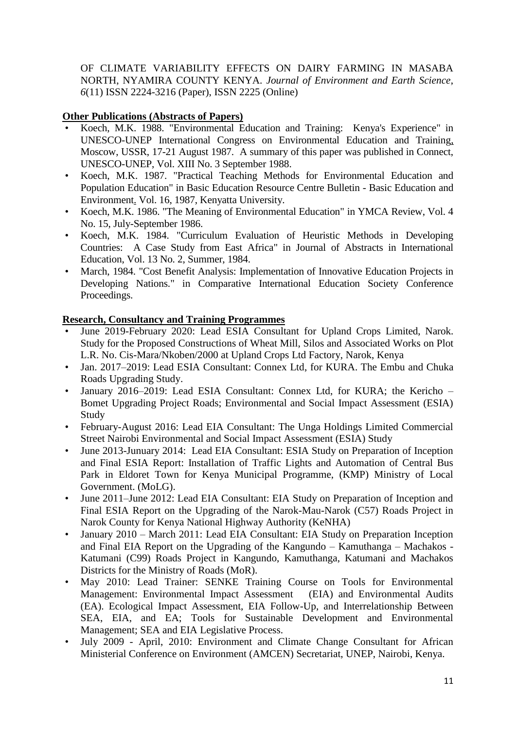OF CLIMATE VARIABILITY EFFECTS ON DAIRY FARMING IN MASABA NORTH, NYAMIRA COUNTY KENYA. *Journal of Environment and Earth Science*, *6*(11) ISSN 2224-3216 (Paper), ISSN 2225 (Online)

## **Other Publications (Abstracts of Papers)**

- Koech, M.K. 1988. "Environmental Education and Training: Kenya's Experience" in UNESCO-UNEP International Congress on Environmental Education and Training, Moscow, USSR, 17-21 August 1987. A summary of this paper was published in Connect, UNESCO-UNEP, Vol. XIII No. 3 September 1988.
- Koech, M.K. 1987. "Practical Teaching Methods for Environmental Education and Population Education" in Basic Education Resource Centre Bulletin - Basic Education and Environment. Vol. 16, 1987, Kenyatta University.
- Koech, M.K. 1986. "The Meaning of Environmental Education" in YMCA Review, Vol. 4 No. 15, July-September 1986.
- Koech, M.K. 1984. "Curriculum Evaluation of Heuristic Methods in Developing Countries: A Case Study from East Africa" in Journal of Abstracts in International Education, Vol. 13 No. 2, Summer, 1984.
- March, 1984. "Cost Benefit Analysis: Implementation of Innovative Education Projects in Developing Nations." in Comparative International Education Society Conference Proceedings.

## **Research, Consultancy and Training Programmes**

- June 2019-February 2020: Lead ESIA Consultant for Upland Crops Limited, Narok. Study for the Proposed Constructions of Wheat Mill, Silos and Associated Works on Plot L.R. No. Cis-Mara/Nkoben/2000 at Upland Crops Ltd Factory, Narok, Kenya
- Jan. 2017–2019: Lead ESIA Consultant: Connex Ltd, for KURA. The Embu and Chuka Roads Upgrading Study.
- January 2016–2019: Lead ESIA Consultant: Connex Ltd, for KURA; the Kericho Bomet Upgrading Project Roads; Environmental and Social Impact Assessment (ESIA) Study
- February-August 2016: Lead EIA Consultant: The Unga Holdings Limited Commercial Street Nairobi Environmental and Social Impact Assessment (ESIA) Study
- June 2013-Junuary 2014: Lead EIA Consultant: ESIA Study on Preparation of Inception and Final ESIA Report: Installation of Traffic Lights and Automation of Central Bus Park in Eldoret Town for Kenya Municipal Programme, (KMP) Ministry of Local Government. (MoLG).
- June 2011–June 2012: Lead EIA Consultant: EIA Study on Preparation of Inception and Final ESIA Report on the Upgrading of the Narok-Mau-Narok (C57) Roads Project in Narok County for Kenya National Highway Authority (KeNHA)
- January 2010 March 2011: Lead EIA Consultant: EIA Study on Preparation Inception and Final EIA Report on the Upgrading of the Kangundo – Kamuthanga – Machakos - Katumani (C99) Roads Project in Kangundo, Kamuthanga, Katumani and Machakos Districts for the Ministry of Roads (MoR).
- May 2010: Lead Trainer: SENKE Training Course on Tools for Environmental Management: Environmental Impact Assessment (EIA) and Environmental Audits (EA). Ecological Impact Assessment, EIA Follow-Up, and Interrelationship Between SEA, EIA, and EA; Tools for Sustainable Development and Environmental Management; SEA and EIA Legislative Process.
- July 2009 April, 2010: Environment and Climate Change Consultant for African Ministerial Conference on Environment (AMCEN) Secretariat, UNEP, Nairobi, Kenya.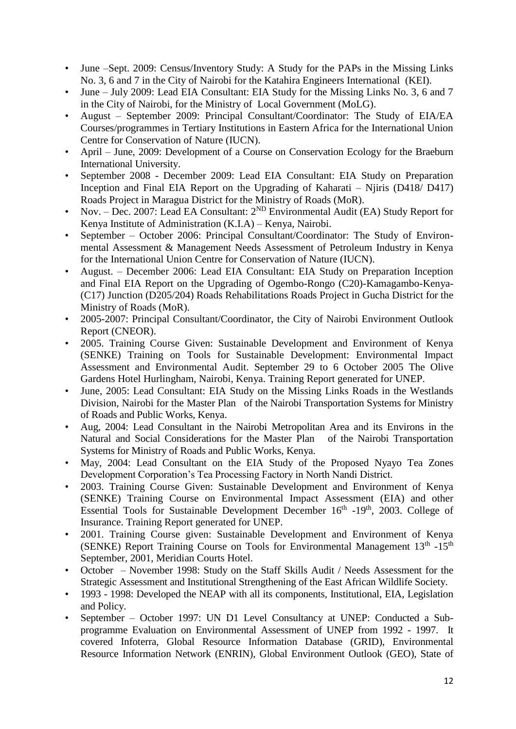- June –Sept. 2009: Census/Inventory Study: A Study for the PAPs in the Missing Links No. 3, 6 and 7 in the City of Nairobi for the Katahira Engineers International (KEI).
- June July 2009: Lead EIA Consultant: EIA Study for the Missing Links No. 3, 6 and 7 in the City of Nairobi, for the Ministry of Local Government (MoLG).
- August September 2009: Principal Consultant/Coordinator: The Study of EIA/EA Courses/programmes in Tertiary Institutions in Eastern Africa for the International Union Centre for Conservation of Nature (IUCN).
- April June, 2009: Development of a Course on Conservation Ecology for the Braeburn International University.
- September 2008 December 2009: Lead EIA Consultant: EIA Study on Preparation Inception and Final EIA Report on the Upgrading of Kaharati – Njiris (D418/ D417) Roads Project in Maragua District for the Ministry of Roads (MoR).
- Nov. Dec. 2007: Lead EA Consultant:  $2^{ND}$  Environmental Audit (EA) Study Report for Kenya Institute of Administration (K.I.A) – Kenya, Nairobi.
- September October 2006: Principal Consultant/Coordinator: The Study of Environmental Assessment & Management Needs Assessment of Petroleum Industry in Kenya for the International Union Centre for Conservation of Nature (IUCN).
- August. December 2006: Lead EIA Consultant: EIA Study on Preparation Inception and Final EIA Report on the Upgrading of Ogembo-Rongo (C20)-Kamagambo-Kenya- (C17) Junction (D205/204) Roads Rehabilitations Roads Project in Gucha District for the Ministry of Roads (MoR).
- 2005-2007: Principal Consultant/Coordinator, the City of Nairobi Environment Outlook Report (CNEOR).
- 2005. Training Course Given: Sustainable Development and Environment of Kenya (SENKE) Training on Tools for Sustainable Development: Environmental Impact Assessment and Environmental Audit. September 29 to 6 October 2005 The Olive Gardens Hotel Hurlingham, Nairobi, Kenya. Training Report generated for UNEP.
- June, 2005: Lead Consultant: EIA Study on the Missing Links Roads in the Westlands Division, Nairobi for the Master Plan of the Nairobi Transportation Systems for Ministry of Roads and Public Works, Kenya.
- Aug, 2004: Lead Consultant in the Nairobi Metropolitan Area and its Environs in the Natural and Social Considerations for the Master Plan of the Nairobi Transportation Systems for Ministry of Roads and Public Works, Kenya.
- May, 2004: Lead Consultant on the EIA Study of the Proposed Nyayo Tea Zones Development Corporation's Tea Processing Factory in North Nandi District.
- 2003. Training Course Given: Sustainable Development and Environment of Kenya (SENKE) Training Course on Environmental Impact Assessment (EIA) and other Essential Tools for Sustainable Development December 16<sup>th</sup> -19<sup>th</sup>, 2003. College of Insurance. Training Report generated for UNEP.
- 2001. Training Course given: Sustainable Development and Environment of Kenya (SENKE) Report Training Course on Tools for Environmental Management 13<sup>th</sup> -15<sup>th</sup> September, 2001, Meridian Courts Hotel.
- October November 1998: Study on the Staff Skills Audit / Needs Assessment for the Strategic Assessment and Institutional Strengthening of the East African Wildlife Society.
- 1993 1998: Developed the NEAP with all its components, Institutional, EIA, Legislation and Policy.
- September October 1997: UN D1 Level Consultancy at UNEP: Conducted a Subprogramme Evaluation on Environmental Assessment of UNEP from 1992 - 1997. It covered Infoterra, Global Resource Information Database (GRID), Environmental Resource Information Network (ENRIN), Global Environment Outlook (GEO), State of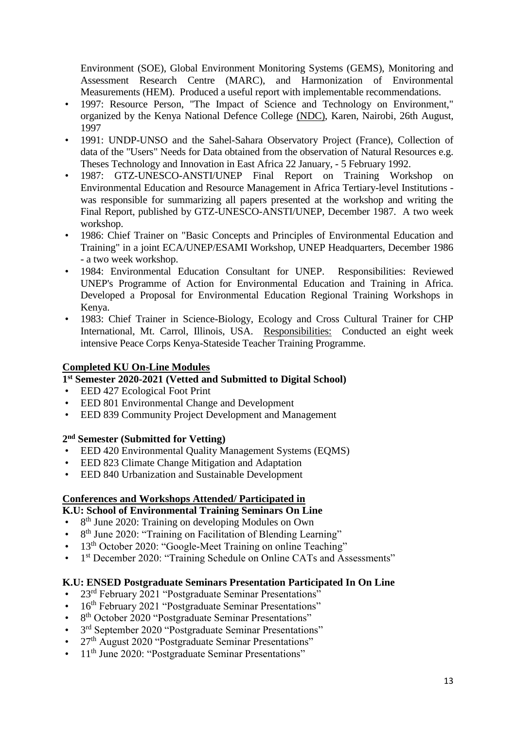Environment (SOE), Global Environment Monitoring Systems (GEMS), Monitoring and Assessment Research Centre (MARC), and Harmonization of Environmental Measurements (HEM). Produced a useful report with implementable recommendations.

- 1997: Resource Person, "The Impact of Science and Technology on Environment," organized by the Kenya National Defence College (NDC), Karen, Nairobi, 26th August, 1997
- 1991: UNDP-UNSO and the Sahel-Sahara Observatory Project (France), Collection of data of the "Users" Needs for Data obtained from the observation of Natural Resources e.g. Theses Technology and Innovation in East Africa 22 January, - 5 February 1992.
- 1987: GTZ-UNESCO-ANSTI/UNEP Final Report on Training Workshop on Environmental Education and Resource Management in Africa Tertiary-level Institutions was responsible for summarizing all papers presented at the workshop and writing the Final Report, published by GTZ-UNESCO-ANSTI/UNEP, December 1987. A two week workshop.
- 1986: Chief Trainer on "Basic Concepts and Principles of Environmental Education and Training" in a joint ECA/UNEP/ESAMI Workshop, UNEP Headquarters, December 1986 - a two week workshop.
- 1984: Environmental Education Consultant for UNEP. Responsibilities: Reviewed UNEP's Programme of Action for Environmental Education and Training in Africa. Developed a Proposal for Environmental Education Regional Training Workshops in Kenya.
- 1983: Chief Trainer in Science-Biology, Ecology and Cross Cultural Trainer for CHP International, Mt. Carrol, Illinois, USA. Responsibilities: Conducted an eight week intensive Peace Corps Kenya-Stateside Teacher Training Programme.

## **Completed KU On-Line Modules**

## **1 st Semester 2020-2021 (Vetted and Submitted to Digital School)**

- EED 427 Ecological Foot Print
- EED 801 Environmental Change and Development
- EED 839 Community Project Development and Management

## **2 nd Semester (Submitted for Vetting)**

- EED 420 Environmental Quality Management Systems (EQMS)
- EED 823 Climate Change Mitigation and Adaptation
- EED 840 Urbanization and Sustainable Development

# **Conferences and Workshops Attended/ Participated in**

## **K.U: School of Environmental Training Seminars On Line**

- 8<sup>th</sup> June 2020: Training on developing Modules on Own
- 8<sup>th</sup> June 2020: "Training on Facilitation of Blending Learning"
- 13<sup>th</sup> October 2020: "Google-Meet Training on online Teaching"
- 1<sup>st</sup> December 2020: "Training Schedule on Online CATs and Assessments"

# **K.U: ENSED Postgraduate Seminars Presentation Participated In On Line**

- 23rd February 2021 "Postgraduate Seminar Presentations"
- 16<sup>th</sup> February 2021 "Postgraduate Seminar Presentations"
- 8<sup>th</sup> October 2020 "Postgraduate Seminar Presentations"
- 3<sup>rd</sup> September 2020 "Postgraduate Seminar Presentations"
- 27<sup>th</sup> August 2020 "Postgraduate Seminar Presentations"
- 11<sup>th</sup> June 2020: "Postgraduate Seminar Presentations"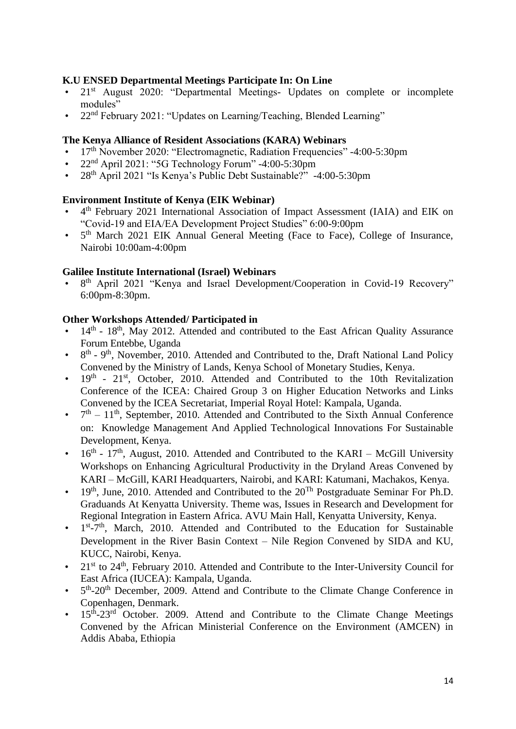## **K.U ENSED Departmental Meetings Participate In: On Line**

- 21<sup>st</sup> August 2020: "Departmental Meetings- Updates on complete or incomplete modules"
- 22nd February 2021: "Updates on Learning/Teaching, Blended Learning"

#### **The Kenya Alliance of Resident Associations (KARA) Webinars**

- 17<sup>th</sup> November 2020: "Electromagnetic, Radiation Frequencies" -4:00-5:30pm
- 22nd April 2021: "5G Technology Forum" -4:00-5:30pm
- 28th April 2021 "Is Kenya's Public Debt Sustainable?" -4:00-5:30pm

#### **Environment Institute of Kenya (EIK Webinar)**

- 4 th February 2021 International Association of Impact Assessment (IAIA) and EIK on "Covid-19 and EIA/EA Development Project Studies" 6:00-9:00pm
- $\bullet$ 5<sup>th</sup> March 2021 EIK Annual General Meeting (Face to Face), College of Insurance, Nairobi 10:00am-4:00pm

#### **Galilee Institute International (Israel) Webinars**

• 8<sup>th</sup> April 2021 "Kenya and Israel Development/Cooperation in Covid-19 Recovery" 6:00pm-8:30pm.

#### **Other Workshops Attended/ Participated in**

- $\cdot$  14<sup>th</sup> 18<sup>th</sup>, May 2012. Attended and contributed to the East African Quality Assurance Forum Entebbe, Uganda
- $\cdot$  8<sup>th</sup> 9<sup>th</sup>, November, 2010. Attended and Contributed to the, Draft National Land Policy Convened by the Ministry of Lands, Kenya School of Monetary Studies, Kenya.
- $\cdot$  19<sup>th</sup> 21<sup>st</sup>, October, 2010. Attended and Contributed to the 10th Revitalization Conference of the ICEA: Chaired Group 3 on Higher Education Networks and Links Convened by the ICEA Secretariat, Imperial Royal Hotel: Kampala, Uganda.
- $\bullet$  $t<sup>th</sup> - 11<sup>th</sup>$ , September, 2010. Attended and Contributed to the Sixth Annual Conference on: Knowledge Management And Applied Technological Innovations For Sustainable Development, Kenya.
- $\cdot$  16<sup>th</sup> 17<sup>th</sup>, August, 2010. Attended and Contributed to the KARI McGill University Workshops on Enhancing Agricultural Productivity in the Dryland Areas Convened by KARI – McGill, KARI Headquarters, Nairobi, and KARI: Katumani, Machakos, Kenya.
- 19<sup>th</sup>, June, 2010. Attended and Contributed to the  $20^{Th}$  Postgraduate Seminar For Ph.D. Graduands At Kenyatta University. Theme was, Issues in Research and Development for Regional Integration in Eastern Africa. AVU Main Hall, Kenyatta University, Kenya.
- 1  $st$ -7<sup>th</sup>, March, 2010. Attended and Contributed to the Education for Sustainable Development in the River Basin Context – Nile Region Convened by SIDA and KU, KUCC, Nairobi, Kenya.
- 21<sup>st</sup> to 24<sup>th</sup>, February 2010. Attended and Contribute to the Inter-University Council for East Africa (IUCEA): Kampala, Uganda.
- $\bullet$ th-20<sup>th</sup> December, 2009. Attend and Contribute to the Climate Change Conference in Copenhagen, Denmark.
- 15<sup>th</sup>-23<sup>rd</sup> October. 2009. Attend and Contribute to the Climate Change Meetings Convened by the African Ministerial Conference on the Environment (AMCEN) in Addis Ababa, Ethiopia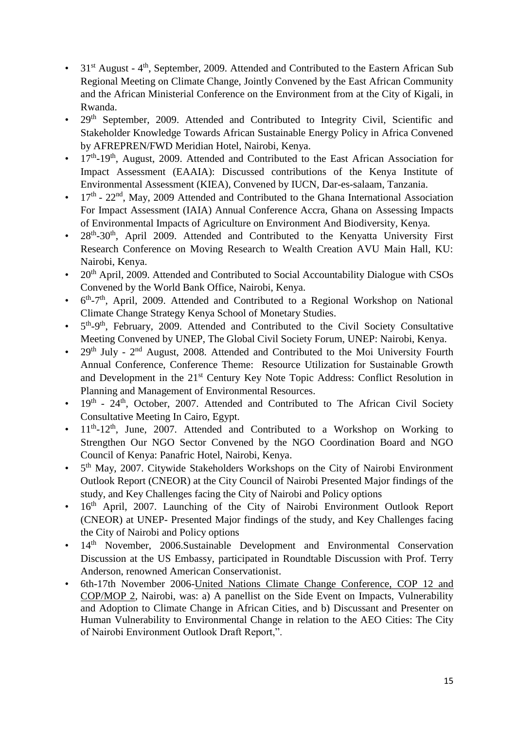- 31<sup>st</sup> August 4<sup>th</sup>, September, 2009. Attended and Contributed to the Eastern African Sub Regional Meeting on Climate Change, Jointly Convened by the East African Community and the African Ministerial Conference on the Environment from at the City of Kigali, in Rwanda.
- 29<sup>th</sup> September, 2009. Attended and Contributed to Integrity Civil, Scientific and Stakeholder Knowledge Towards African Sustainable Energy Policy in Africa Convened by AFREPREN/FWD Meridian Hotel, Nairobi, Kenya.
- 17<sup>th</sup>-19<sup>th</sup>, August, 2009. Attended and Contributed to the East African Association for Impact Assessment (EAAIA): Discussed contributions of the Kenya Institute of Environmental Assessment (KIEA), Convened by IUCN, Dar-es-salaam, Tanzania.
- $17<sup>th</sup>$   $22<sup>nd</sup>$ , May, 2009 Attended and Contributed to the Ghana International Association For Impact Assessment (IAIA) Annual Conference Accra, Ghana on Assessing Impacts of Environmental Impacts of Agriculture on Environment And Biodiversity, Kenya.
- 28<sup>th</sup>-30<sup>th</sup>, April 2009. Attended and Contributed to the Kenyatta University First Research Conference on Moving Research to Wealth Creation AVU Main Hall, KU: Nairobi, Kenya.
- 20<sup>th</sup> April, 2009. Attended and Contributed to Social Accountability Dialogue with CSOs Convened by the World Bank Office, Nairobi, Kenya.
- $\bullet$ th-7<sup>th</sup>, April, 2009. Attended and Contributed to a Regional Workshop on National Climate Change Strategy Kenya School of Monetary Studies.
- $\bullet$ th-9<sup>th</sup>, February, 2009. Attended and Contributed to the Civil Society Consultative Meeting Convened by UNEP, The Global Civil Society Forum, UNEP: Nairobi, Kenya.
- 29<sup>th</sup> July  $2<sup>nd</sup>$  August, 2008. Attended and Contributed to the Moi University Fourth Annual Conference, Conference Theme: Resource Utilization for Sustainable Growth and Development in the 21<sup>st</sup> Century Key Note Topic Address: Conflict Resolution in Planning and Management of Environmental Resources.
- $\cdot$  19<sup>th</sup> 24<sup>th</sup>, October, 2007. Attended and Contributed to The African Civil Society Consultative Meeting In Cairo, Egypt.
- $\cdot$  11<sup>th</sup>-12<sup>th</sup>, June, 2007. Attended and Contributed to a Workshop on Working to Strengthen Our NGO Sector Convened by the NGO Coordination Board and NGO Council of Kenya: Panafric Hotel, Nairobi, Kenya.
- 5<sup>th</sup> May, 2007. Citywide Stakeholders Workshops on the City of Nairobi Environment Outlook Report (CNEOR) at the City Council of Nairobi Presented Major findings of the study, and Key Challenges facing the City of Nairobi and Policy options
- $\cdot$  16<sup>th</sup> April, 2007. Launching of the City of Nairobi Environment Outlook Report (CNEOR) at UNEP- Presented Major findings of the study, and Key Challenges facing the City of Nairobi and Policy options
- 14<sup>th</sup> November, 2006.Sustainable Development and Environmental Conservation Discussion at the US Embassy, participated in Roundtable Discussion with Prof. Terry Anderson, renowned American Conservationist.
- 6th-17th November 2006-United Nations Climate Change Conference, COP 12 and COP/MOP 2, Nairobi, was: a) A panellist on the Side Event on Impacts, Vulnerability and Adoption to Climate Change in African Cities, and b) Discussant and Presenter on Human Vulnerability to Environmental Change in relation to the AEO Cities: The City of Nairobi Environment Outlook Draft Report,".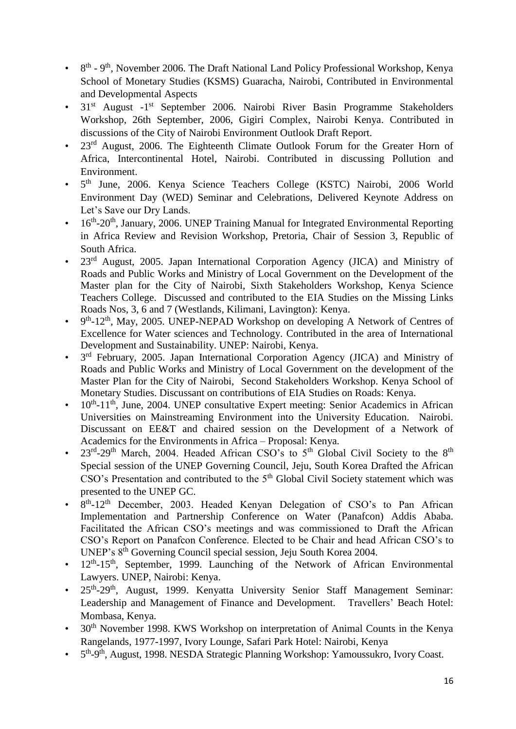- 8<sup>th</sup> 9<sup>th</sup>, November 2006. The Draft National Land Policy Professional Workshop, Kenya School of Monetary Studies (KSMS) Guaracha, Nairobi, Contributed in Environmental and Developmental Aspects
- 31<sup>st</sup> August -1<sup>st</sup> September 2006. Nairobi River Basin Programme Stakeholders Workshop, 26th September, 2006, Gigiri Complex, Nairobi Kenya. Contributed in discussions of the City of Nairobi Environment Outlook Draft Report.
- 23<sup>rd</sup> August, 2006. The Eighteenth Climate Outlook Forum for the Greater Horn of Africa, Intercontinental Hotel, Nairobi. Contributed in discussing Pollution and Environment.
- · 5<sup>th</sup> June, 2006. Kenya Science Teachers College (KSTC) Nairobi, 2006 World Environment Day (WED) Seminar and Celebrations, Delivered Keynote Address on Let's Save our Dry Lands.
- 16<sup>th</sup>-20<sup>th</sup>, January, 2006. UNEP Training Manual for Integrated Environmental Reporting in Africa Review and Revision Workshop, Pretoria, Chair of Session 3, Republic of South Africa.
- 23<sup>rd</sup> August, 2005. Japan International Corporation Agency (JICA) and Ministry of Roads and Public Works and Ministry of Local Government on the Development of the Master plan for the City of Nairobi, Sixth Stakeholders Workshop, Kenya Science Teachers College. Discussed and contributed to the EIA Studies on the Missing Links Roads Nos, 3, 6 and 7 (Westlands, Kilimani, Lavington): Kenya.
- $\bullet$ th-12<sup>th</sup>, May, 2005. UNEP-NEPAD Workshop on developing A Network of Centres of Excellence for Water sciences and Technology. Contributed in the area of International Development and Sustainability. UNEP: Nairobi, Kenya.
- $\bullet$ 3<sup>rd</sup> February, 2005. Japan International Corporation Agency (JICA) and Ministry of Roads and Public Works and Ministry of Local Government on the development of the Master Plan for the City of Nairobi, Second Stakeholders Workshop. Kenya School of Monetary Studies. Discussant on contributions of EIA Studies on Roads: Kenya.
- $\cdot$  10<sup>th</sup>-11<sup>th</sup>, June, 2004. UNEP consultative Expert meeting: Senior Academics in African Universities on Mainstreaming Environment into the University Education. Nairobi. Discussant on EE&T and chaired session on the Development of a Network of Academics for the Environments in Africa – Proposal: Kenya.
- 23<sup>rd</sup>-29<sup>th</sup> March, 2004. Headed African CSO's to 5<sup>th</sup> Global Civil Society to the 8<sup>th</sup> Special session of the UNEP Governing Council, Jeju, South Korea Drafted the African  $\text{CSO's Presentation}$  and contributed to the  $5^{\text{th}}$  Global Civil Society statement which was presented to the UNEP GC.
- 8<sup>th</sup>-12<sup>th</sup> December, 2003. Headed Kenyan Delegation of CSO's to Pan African Implementation and Partnership Conference on Water (Panafcon) Addis Ababa. Facilitated the African CSO's meetings and was commissioned to Draft the African CSO's Report on Panafcon Conference. Elected to be Chair and head African CSO's to UNEP's 8th Governing Council special session, Jeju South Korea 2004.
- $\cdot$  12<sup>th</sup>-15<sup>th</sup>, September, 1999. Launching of the Network of African Environmental Lawyers. UNEP, Nairobi: Kenya.
- 25<sup>th</sup>-29<sup>th</sup>, August, 1999. Kenyatta University Senior Staff Management Seminar: Leadership and Management of Finance and Development. Travellers' Beach Hotel: Mombasa, Kenya.
- 30<sup>th</sup> November 1998. KWS Workshop on interpretation of Animal Counts in the Kenya Rangelands, 1977-1997, Ivory Lounge, Safari Park Hotel: Nairobi, Kenya
- 5<sup>th</sup>-9<sup>th</sup>, August, 1998. NESDA Strategic Planning Workshop: Yamoussukro, Ivory Coast.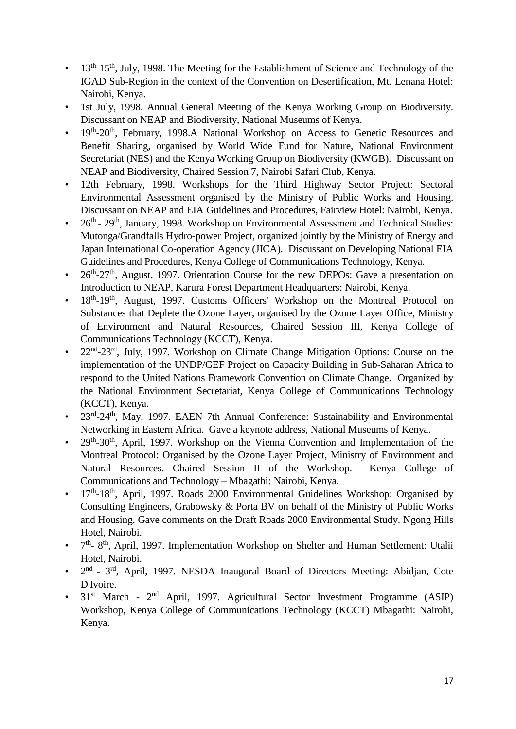- 13<sup>th</sup>-15<sup>th</sup>, July, 1998. The Meeting for the Establishment of Science and Technology of the IGAD Sub-Region in the context of the Convention on Desertification, Mt. Lenana Hotel: Nairobi, Kenya.
- 1st July, 1998. Annual General Meeting of the Kenya Working Group on Biodiversity. Discussant on NEAP and Biodiversity, National Museums of Kenya.
- 19<sup>th</sup>-20<sup>th</sup>, February, 1998.A National Workshop on Access to Genetic Resources and Benefit Sharing, organised by World Wide Fund for Nature, National Environment Secretariat (NES) and the Kenya Working Group on Biodiversity (KWGB). Discussant on NEAP and Biodiversity, Chaired Session 7, Nairobi Safari Club, Kenya.
- 12th February, 1998. Workshops for the Third Highway Sector Project: Sectoral Environmental Assessment organised by the Ministry of Public Works and Housing. Discussant on NEAP and EIA Guidelines and Procedures, Fairview Hotel: Nairobi, Kenya.
- 26<sup>th</sup> 29<sup>th</sup>, January, 1998. Workshop on Environmental Assessment and Technical Studies: Mutonga/Grandfalls Hydro-power Project, organized jointly by the Ministry of Energy and Japan International Co-operation Agency (JICA). Discussant on Developing National EIA Guidelines and Procedures, Kenya College of Communications Technology, Kenya.
- 26<sup>th</sup>-27<sup>th</sup>, August, 1997. Orientation Course for the new DEPOs: Gave a presentation on Introduction to NEAP, Karura Forest Department Headquarters: Nairobi, Kenya.
- 18<sup>th</sup>-19<sup>th</sup>, August, 1997. Customs Officers' Workshop on the Montreal Protocol on Substances that Deplete the Ozone Layer, organised by the Ozone Layer Office, Ministry of Environment and Natural Resources, Chaired Session III, Kenya College of Communications Technology (KCCT), Kenya.
- 22<sup>nd</sup>-23<sup>rd</sup>, July, 1997. Workshop on Climate Change Mitigation Options: Course on the implementation of the UNDP/GEF Project on Capacity Building in Sub-Saharan Africa to respond to the United Nations Framework Convention on Climate Change. Organized by the National Environment Secretariat, Kenya College of Communications Technology (KCCT), Kenya.
- 23<sup>rd</sup>-24<sup>th</sup>, May, 1997. EAEN 7th Annual Conference: Sustainability and Environmental Networking in Eastern Africa. Gave a keynote address, National Museums of Kenya.
- $\cdot$  29<sup>th</sup>-30<sup>th</sup>, April, 1997. Workshop on the Vienna Convention and Implementation of the Montreal Protocol: Organised by the Ozone Layer Project, Ministry of Environment and Natural Resources. Chaired Session II of the Workshop. Kenya College of Communications and Technology – Mbagathi: Nairobi, Kenya.
- 17<sup>th</sup>-18<sup>th</sup>, April, 1997. Roads 2000 Environmental Guidelines Workshop: Organised by Consulting Engineers, Grabowsky & Porta BV on behalf of the Ministry of Public Works and Housing. Gave comments on the Draft Roads 2000 Environmental Study. Ngong Hills Hotel, Nairobi.
- $\bullet$  7<sup>th</sup>-8<sup>th</sup>, April, 1997. Implementation Workshop on Shelter and Human Settlement: Utalii Hotel, Nairobi.
- 2 nd - 3<sup>rd</sup>, April, 1997. NESDA Inaugural Board of Directors Meeting: Abidjan, Cote D'Ivoire.
- 31<sup>st</sup> March 2<sup>nd</sup> April, 1997. Agricultural Sector Investment Programme (ASIP) Workshop, Kenya College of Communications Technology (KCCT) Mbagathi: Nairobi, Kenya.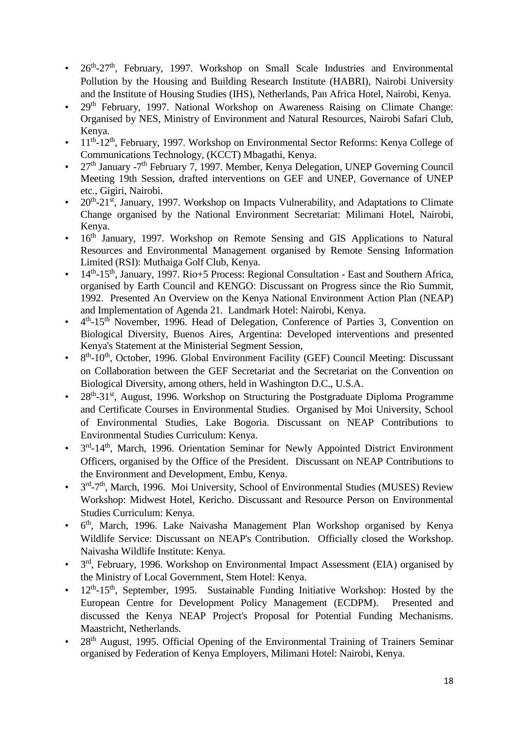- 26<sup>th</sup>-27<sup>th</sup>, February, 1997. Workshop on Small Scale Industries and Environmental Pollution by the Housing and Building Research Institute (HABRI), Nairobi University and the Institute of Housing Studies (IHS), Netherlands, Pan Africa Hotel, Nairobi, Kenya.
- 29<sup>th</sup> February, 1997. National Workshop on Awareness Raising on Climate Change: Organised by NES, Ministry of Environment and Natural Resources, Nairobi Safari Club, Kenya.
- 11<sup>th</sup>-12<sup>th</sup>, February, 1997. Workshop on Environmental Sector Reforms: Kenya College of Communications Technology, (KCCT) Mbagathi, Kenya.
- 27<sup>th</sup> January -7<sup>th</sup> February 7, 1997. Member, Kenya Delegation, UNEP Governing Council Meeting 19th Session, drafted interventions on GEF and UNEP, Governance of UNEP etc., Gigiri, Nairobi.
- $20^{th} 21^{st}$ , January, 1997. Workshop on Impacts Vulnerability, and Adaptations to Climate Change organised by the National Environment Secretariat: Milimani Hotel, Nairobi, Kenya.
- 16<sup>th</sup> January, 1997. Workshop on Remote Sensing and GIS Applications to Natural Resources and Environmental Management organised by Remote Sensing Information Limited (RSI): Muthaiga Golf Club, Kenya.
- 14<sup>th</sup>-15<sup>th</sup>, January, 1997. Rio+5 Process: Regional Consultation East and Southern Africa, organised by Earth Council and KENGO: Discussant on Progress since the Rio Summit, 1992. Presented An Overview on the Kenya National Environment Action Plan (NEAP) and Implementation of Agenda 21. Landmark Hotel: Nairobi, Kenya.
- 4<sup>th</sup>-15<sup>th</sup> November, 1996. Head of Delegation, Conference of Parties 3, Convention on Biological Diversity, Buenos Aires, Argentina: Developed interventions and presented Kenya's Statement at the Ministerial Segment Session,
- 8<sup>th</sup>-10<sup>th</sup>, October, 1996. Global Environment Facility (GEF) Council Meeting: Discussant on Collaboration between the GEF Secretariat and the Secretariat on the Convention on Biological Diversity, among others, held in Washington D.C., U.S.A.
- 28<sup>th</sup>-31<sup>st</sup>, August, 1996. Workshop on Structuring the Postgraduate Diploma Programme and Certificate Courses in Environmental Studies. Organised by Moi University, School of Environmental Studies, Lake Bogoria. Discussant on NEAP Contributions to Environmental Studies Curriculum: Kenya.
- 3<sup>rd</sup>-14<sup>th</sup>, March, 1996. Orientation Seminar for Newly Appointed District Environment Officers, organised by the Office of the President. Discussant on NEAP Contributions to the Environment and Development, Embu, Kenya.
- 3<sup>rd</sup>-7<sup>th</sup>, March, 1996. Moi University, School of Environmental Studies (MUSES) Review Workshop: Midwest Hotel, Kericho. Discussant and Resource Person on Environmental Studies Curriculum: Kenya.
- 6 th, March, 1996. Lake Naivasha Management Plan Workshop organised by Kenya Wildlife Service: Discussant on NEAP's Contribution. Officially closed the Workshop. Naivasha Wildlife Institute: Kenya.
- 3<sup>rd</sup>, February, 1996. Workshop on Environmental Impact Assessment (EIA) organised by the Ministry of Local Government, Stem Hotel: Kenya.
- $\cdot$  12<sup>th</sup>-15<sup>th</sup>, September, 1995. Sustainable Funding Initiative Workshop: Hosted by the European Centre for Development Policy Management (ECDPM). Presented and discussed the Kenya NEAP Project's Proposal for Potential Funding Mechanisms. Maastricht, Netherlands.
- 28<sup>th</sup> August, 1995. Official Opening of the Environmental Training of Trainers Seminar organised by Federation of Kenya Employers, Milimani Hotel: Nairobi, Kenya.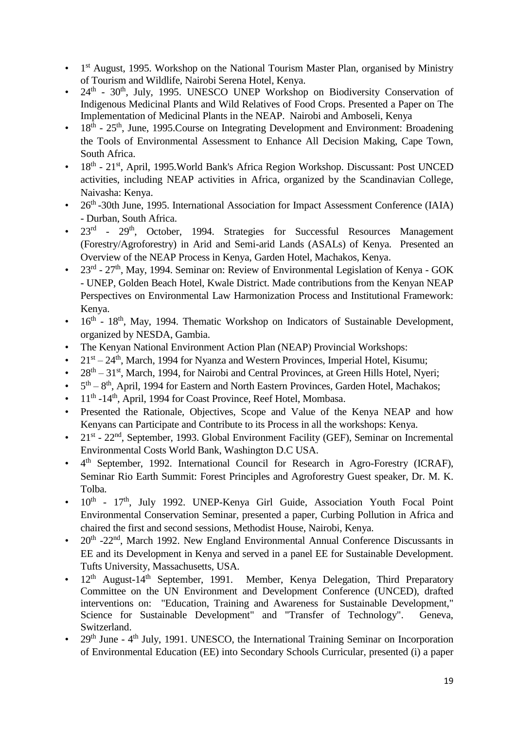- 1<sup>st</sup> August, 1995. Workshop on the National Tourism Master Plan, organised by Ministry of Tourism and Wildlife, Nairobi Serena Hotel, Kenya.
- $\cdot$  24<sup>th</sup> 30<sup>th</sup>, July, 1995. UNESCO UNEP Workshop on Biodiversity Conservation of Indigenous Medicinal Plants and Wild Relatives of Food Crops. Presented a Paper on The Implementation of Medicinal Plants in the NEAP. Nairobi and Amboseli, Kenya
- $\cdot$  18<sup>th</sup> 25<sup>th</sup>, June, 1995. Course on Integrating Development and Environment: Broadening the Tools of Environmental Assessment to Enhance All Decision Making, Cape Town, South Africa.
- 18<sup>th</sup> 21<sup>st</sup>, April, 1995. World Bank's Africa Region Workshop. Discussant: Post UNCED activities, including NEAP activities in Africa, organized by the Scandinavian College, Naivasha: Kenya.
- 26<sup>th</sup> -30th June, 1995. International Association for Impact Assessment Conference (IAIA) - Durban, South Africa.
- 23<sup>rd</sup> 29<sup>th</sup>, October, 1994. Strategies for Successful Resources Management (Forestry/Agroforestry) in Arid and Semi-arid Lands (ASALs) of Kenya. Presented an Overview of the NEAP Process in Kenya, Garden Hotel, Machakos, Kenya.
- 23<sup>rd</sup> 27<sup>th</sup>, May, 1994. Seminar on: Review of Environmental Legislation of Kenya GOK - UNEP, Golden Beach Hotel, Kwale District. Made contributions from the Kenyan NEAP Perspectives on Environmental Law Harmonization Process and Institutional Framework: Kenya.
- 16<sup>th</sup> 18<sup>th</sup>, May, 1994. Thematic Workshop on Indicators of Sustainable Development, organized by NESDA, Gambia.
- The Kenyan National Environment Action Plan (NEAP) Provincial Workshops:
- $21<sup>st</sup> 24<sup>th</sup>$ , March, 1994 for Nyanza and Western Provinces, Imperial Hotel, Kisumu;
- 28<sup>th</sup> 31<sup>st</sup>, March, 1994, for Nairobi and Central Provinces, at Green Hills Hotel, Nyeri;
- $\cdot$  5<sup>th</sup> 8<sup>th</sup>, April, 1994 for Eastern and North Eastern Provinces, Garden Hotel, Machakos;
- 11<sup>th</sup> -14<sup>th</sup>, April, 1994 for Coast Province, Reef Hotel, Mombasa.
- Presented the Rationale, Objectives, Scope and Value of the Kenya NEAP and how Kenyans can Participate and Contribute to its Process in all the workshops: Kenya.
- $\cdot$  21<sup>st</sup> 22<sup>nd</sup>, September, 1993. Global Environment Facility (GEF), Seminar on Incremental Environmental Costs World Bank, Washington D.C USA.
- $\bullet$ 4<sup>th</sup> September, 1992. International Council for Research in Agro-Forestry (ICRAF), Seminar Rio Earth Summit: Forest Principles and Agroforestry Guest speaker, Dr. M. K. Tolba.
- $\cdot$  10<sup>th</sup> 17<sup>th</sup>, July 1992. UNEP-Kenya Girl Guide, Association Youth Focal Point Environmental Conservation Seminar, presented a paper, Curbing Pollution in Africa and chaired the first and second sessions, Methodist House, Nairobi, Kenya.
- 20<sup>th</sup> -22<sup>nd</sup>, March 1992. New England Environmental Annual Conference Discussants in EE and its Development in Kenya and served in a panel EE for Sustainable Development. Tufts University, Massachusetts, USA.
- $12<sup>th</sup>$  August-14<sup>th</sup> September, 1991. Member, Kenya Delegation, Third Preparatory Committee on the UN Environment and Development Conference (UNCED), drafted interventions on: "Education, Training and Awareness for Sustainable Development," Science for Sustainable Development" and "Transfer of Technology". Geneva, Switzerland.
- $\cdot$  29<sup>th</sup> June 4<sup>th</sup> July, 1991. UNESCO, the International Training Seminar on Incorporation of Environmental Education (EE) into Secondary Schools Curricular, presented (i) a paper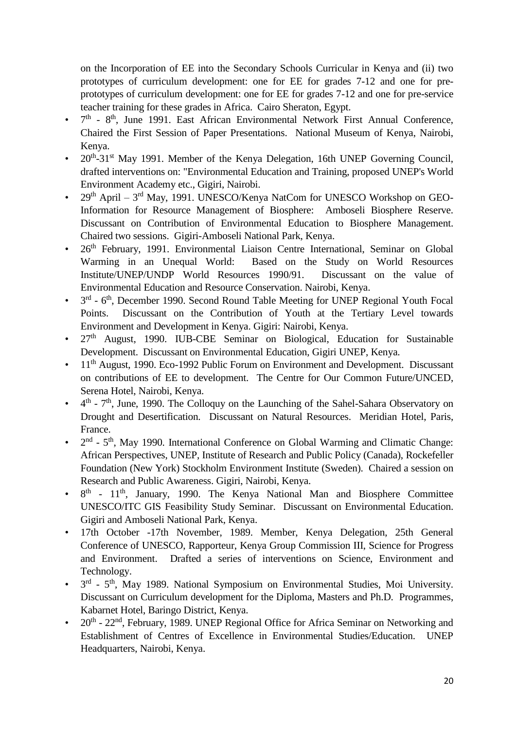on the Incorporation of EE into the Secondary Schools Curricular in Kenya and (ii) two prototypes of curriculum development: one for EE for grades 7-12 and one for preprototypes of curriculum development: one for EE for grades 7-12 and one for pre-service teacher training for these grades in Africa. Cairo Sheraton, Egypt.

- $\bullet$  7<sup>th</sup> 8<sup>th</sup>, June 1991. East African Environmental Network First Annual Conference, Chaired the First Session of Paper Presentations. National Museum of Kenya, Nairobi, Kenya.
- 20<sup>th</sup>-31<sup>st</sup> May 1991. Member of the Kenya Delegation, 16th UNEP Governing Council, drafted interventions on: "Environmental Education and Training, proposed UNEP's World Environment Academy etc., Gigiri, Nairobi.
- 29<sup>th</sup> April  $3<sup>rd</sup>$  May, 1991. UNESCO/Kenya NatCom for UNESCO Workshop on GEO-Information for Resource Management of Biosphere: Amboseli Biosphere Reserve. Discussant on Contribution of Environmental Education to Biosphere Management. Chaired two sessions. Gigiri-Amboseli National Park, Kenya.
- 26<sup>th</sup> February, 1991. Environmental Liaison Centre International, Seminar on Global Warming in an Unequal World: Based on the Study on World Resources Institute/UNEP/UNDP World Resources 1990/91. Discussant on the value of Environmental Education and Resource Conservation. Nairobi, Kenya.
- $\bullet$ <sup>rd</sup> - 6<sup>th</sup>, December 1990. Second Round Table Meeting for UNEP Regional Youth Focal Points. Discussant on the Contribution of Youth at the Tertiary Level towards Environment and Development in Kenya. Gigiri: Nairobi, Kenya.
- 27<sup>th</sup> August, 1990. IUB-CBE Seminar on Biological, Education for Sustainable Development. Discussant on Environmental Education, Gigiri UNEP, Kenya.
- $11<sup>th</sup>$  August, 1990. Eco-1992 Public Forum on Environment and Development. Discussant on contributions of EE to development. The Centre for Our Common Future/UNCED, Serena Hotel, Nairobi, Kenya.
- $\bullet$  $<sup>th</sup>$  -  $7<sup>th</sup>$ , June, 1990. The Colloquy on the Launching of the Sahel-Sahara Observatory on</sup> Drought and Desertification. Discussant on Natural Resources. Meridian Hotel, Paris, France.
- $2<sup>nd</sup>$   $5<sup>th</sup>$ , May 1990. International Conference on Global Warming and Climatic Change: African Perspectives, UNEP, Institute of Research and Public Policy (Canada), Rockefeller Foundation (New York) Stockholm Environment Institute (Sweden). Chaired a session on Research and Public Awareness. Gigiri, Nairobi, Kenya.
- $\bullet$ th - 11<sup>th</sup>, January, 1990. The Kenya National Man and Biosphere Committee UNESCO/ITC GIS Feasibility Study Seminar. Discussant on Environmental Education. Gigiri and Amboseli National Park, Kenya.
- 17th October -17th November, 1989. Member, Kenya Delegation, 25th General Conference of UNESCO, Rapporteur, Kenya Group Commission III, Science for Progress and Environment. Drafted a series of interventions on Science, Environment and Technology.
- $\cdot$  3<sup>rd</sup> 5<sup>th</sup>, May 1989. National Symposium on Environmental Studies, Moi University. Discussant on Curriculum development for the Diploma, Masters and Ph.D. Programmes, Kabarnet Hotel, Baringo District, Kenya.
- $20<sup>th</sup>$   $22<sup>nd</sup>$ , February, 1989. UNEP Regional Office for Africa Seminar on Networking and Establishment of Centres of Excellence in Environmental Studies/Education. UNEP Headquarters, Nairobi, Kenya.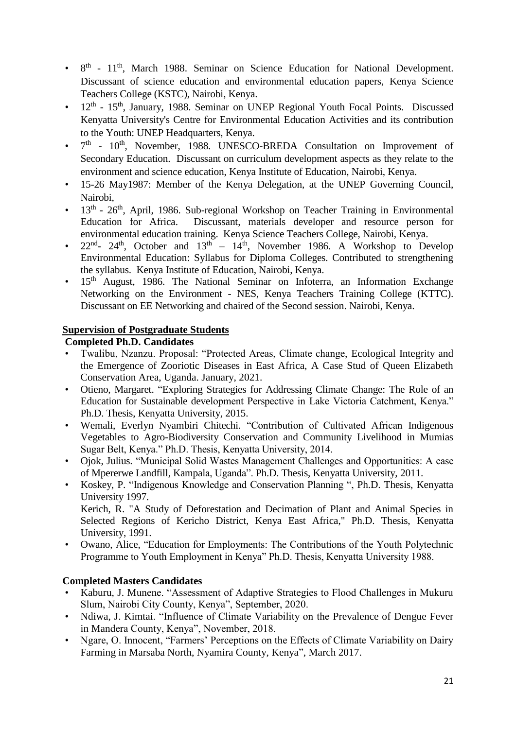- 8<sup>th</sup> 11<sup>th</sup>, March 1988. Seminar on Science Education for National Development. Discussant of science education and environmental education papers, Kenya Science Teachers College (KSTC), Nairobi, Kenya.
- 12<sup>th</sup> 15<sup>th</sup>, January, 1988. Seminar on UNEP Regional Youth Focal Points. Discussed Kenyatta University's Centre for Environmental Education Activities and its contribution to the Youth: UNEP Headquarters, Kenya.
- $\bullet$   $7<sup>th</sup>$   $10<sup>th</sup>$ , November, 1988. UNESCO-BREDA Consultation on Improvement of Secondary Education. Discussant on curriculum development aspects as they relate to the environment and science education, Kenya Institute of Education, Nairobi, Kenya.
- 15-26 May1987: Member of the Kenya Delegation, at the UNEP Governing Council, Nairobi,
- 13<sup>th</sup> 26<sup>th</sup>, April, 1986. Sub-regional Workshop on Teacher Training in Environmental Education for Africa. Discussant, materials developer and resource person for environmental education training. Kenya Science Teachers College, Nairobi, Kenya.
- $22<sup>nd</sup>$   $24<sup>th</sup>$ , October and  $13<sup>th</sup>$   $14<sup>th</sup>$ , November 1986. A Workshop to Develop Environmental Education: Syllabus for Diploma Colleges. Contributed to strengthening the syllabus. Kenya Institute of Education, Nairobi, Kenya.
- $15<sup>th</sup>$  August, 1986. The National Seminar on Infoterra, an Information Exchange Networking on the Environment - NES, Kenya Teachers Training College (KTTC). Discussant on EE Networking and chaired of the Second session. Nairobi, Kenya.

## **Supervision of Postgraduate Students**

## **Completed Ph.D. Candidates**

- Twalibu, Nzanzu. Proposal: "Protected Areas, Climate change, Ecological Integrity and the Emergence of Zooriotic Diseases in East Africa, A Case Stud of Queen Elizabeth Conservation Area, Uganda. January, 2021.
- Otieno, Margaret. "Exploring Strategies for Addressing Climate Change: The Role of an Education for Sustainable development Perspective in Lake Victoria Catchment, Kenya." Ph.D. Thesis, Kenyatta University, 2015.
- Wemali, Everlyn Nyambiri Chitechi. "Contribution of Cultivated African Indigenous Vegetables to Agro-Biodiversity Conservation and Community Livelihood in Mumias Sugar Belt, Kenya." Ph.D. Thesis, Kenyatta University, 2014.
- Ojok, Julius. "Municipal Solid Wastes Management Challenges and Opportunities: A case of Mpererwe Landfill, Kampala, Uganda". Ph.D. Thesis, Kenyatta University, 2011.
- Koskey, P. "Indigenous Knowledge and Conservation Planning ", Ph.D. Thesis, Kenyatta University 1997. Kerich, R. "A Study of Deforestation and Decimation of Plant and Animal Species in Selected Regions of Kericho District, Kenya East Africa," Ph.D. Thesis, Kenyatta
- University, 1991. • Owano, Alice, "Education for Employments: The Contributions of the Youth Polytechnic Programme to Youth Employment in Kenya" Ph.D. Thesis, Kenyatta University 1988.

# **Completed Masters Candidates**

- Kaburu, J. Munene. "Assessment of Adaptive Strategies to Flood Challenges in Mukuru Slum, Nairobi City County, Kenya", September, 2020.
- Ndiwa, J. Kimtai. "Influence of Climate Variability on the Prevalence of Dengue Fever in Mandera County, Kenya", November, 2018.
- Ngare, O. Innocent, "Farmers' Perceptions on the Effects of Climate Variability on Dairy Farming in Marsaba North, Nyamira County, Kenya", March 2017.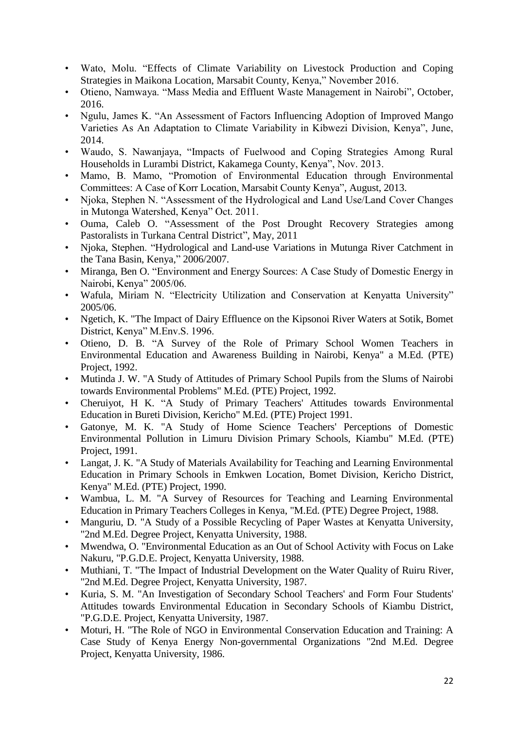- Wato, Molu. "Effects of Climate Variability on Livestock Production and Coping Strategies in Maikona Location, Marsabit County, Kenya," November 2016.
- Otieno, Namwaya. "Mass Media and Effluent Waste Management in Nairobi", October, 2016.
- Ngulu, James K. "An Assessment of Factors Influencing Adoption of Improved Mango Varieties As An Adaptation to Climate Variability in Kibwezi Division, Kenya", June, 2014.
- Waudo, S. Nawanjaya, "Impacts of Fuelwood and Coping Strategies Among Rural Households in Lurambi District, Kakamega County, Kenya", Nov. 2013.
- Mamo, B. Mamo, "Promotion of Environmental Education through Environmental Committees: A Case of Korr Location, Marsabit County Kenya", August, 2013.
- Njoka, Stephen N. "Assessment of the Hydrological and Land Use/Land Cover Changes in Mutonga Watershed, Kenya" Oct. 2011.
- Ouma, Caleb O. "Assessment of the Post Drought Recovery Strategies among Pastoralists in Turkana Central District", May, 2011
- Njoka, Stephen. "Hydrological and Land-use Variations in Mutunga River Catchment in the Tana Basin, Kenya," 2006/2007.
- Miranga, Ben O. "Environment and Energy Sources: A Case Study of Domestic Energy in Nairobi, Kenya" 2005/06.
- Wafula, Miriam N. "Electricity Utilization and Conservation at Kenyatta University" 2005/06.
- Ngetich, K. "The Impact of Dairy Effluence on the Kipsonoi River Waters at Sotik, Bomet District, Kenya" M.Env.S. 1996.
- Otieno, D. B. "A Survey of the Role of Primary School Women Teachers in Environmental Education and Awareness Building in Nairobi, Kenya" a M.Ed. (PTE) Project, 1992.
- Mutinda J. W. "A Study of Attitudes of Primary School Pupils from the Slums of Nairobi towards Environmental Problems" M.Ed. (PTE) Project, 1992.
- Cheruiyot, H K. "A Study of Primary Teachers' Attitudes towards Environmental Education in Bureti Division, Kericho" M.Ed. (PTE) Project 1991.
- Gatonye, M. K. "A Study of Home Science Teachers' Perceptions of Domestic Environmental Pollution in Limuru Division Primary Schools, Kiambu" M.Ed. (PTE) Project, 1991.
- Langat, J. K. "A Study of Materials Availability for Teaching and Learning Environmental Education in Primary Schools in Emkwen Location, Bomet Division, Kericho District, Kenya" M.Ed. (PTE) Project, 1990.
- Wambua, L. M. "A Survey of Resources for Teaching and Learning Environmental Education in Primary Teachers Colleges in Kenya, "M.Ed. (PTE) Degree Project, 1988.
- Manguriu, D. "A Study of a Possible Recycling of Paper Wastes at Kenyatta University, "2nd M.Ed. Degree Project, Kenyatta University, 1988.
- Mwendwa, O. "Environmental Education as an Out of School Activity with Focus on Lake Nakuru, "P.G.D.E. Project, Kenyatta University, 1988.
- Muthiani, T. "The Impact of Industrial Development on the Water Quality of Ruiru River, "2nd M.Ed. Degree Project, Kenyatta University, 1987.
- Kuria, S. M. "An Investigation of Secondary School Teachers' and Form Four Students' Attitudes towards Environmental Education in Secondary Schools of Kiambu District, "P.G.D.E. Project, Kenyatta University, 1987.
- Moturi, H. "The Role of NGO in Environmental Conservation Education and Training: A Case Study of Kenya Energy Non-governmental Organizations "2nd M.Ed. Degree Project, Kenyatta University, 1986.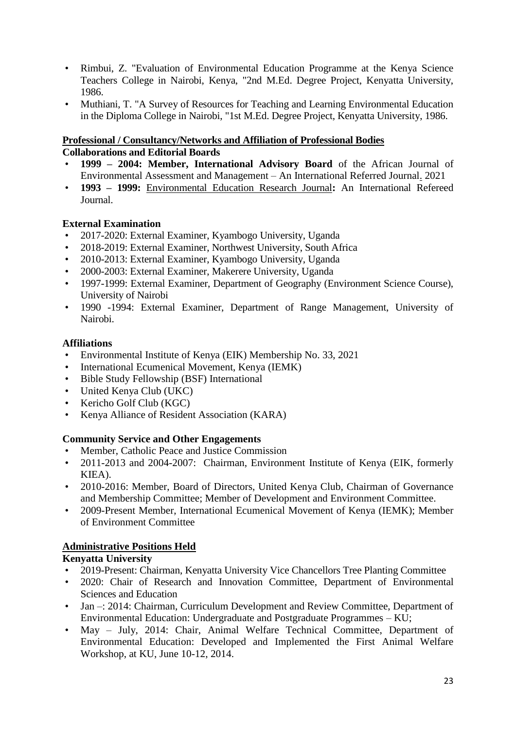- Rimbui, Z. "Evaluation of Environmental Education Programme at the Kenya Science Teachers College in Nairobi, Kenya, "2nd M.Ed. Degree Project, Kenyatta University, 1986.
- Muthiani, T. "A Survey of Resources for Teaching and Learning Environmental Education in the Diploma College in Nairobi, "1st M.Ed. Degree Project, Kenyatta University, 1986.

#### **Professional / Consultancy/Networks and Affiliation of Professional Bodies Collaborations and Editorial Boards**

- **1999 – 2004: Member, International Advisory Board** of the African Journal of
- Environmental Assessment and Management An International Referred Journal. 2021 • **1993 – 1999:** Environmental Education Research Journal**:** An International Refereed Journal.

## **External Examination**

- 2017-2020: External Examiner, Kyambogo University, Uganda
- 2018-2019: External Examiner, Northwest University, South Africa
- 2010-2013: External Examiner, Kyambogo University, Uganda
- 2000-2003: External Examiner, Makerere University, Uganda
- 1997-1999: External Examiner, Department of Geography (Environment Science Course), University of Nairobi
- 1990 -1994: External Examiner, Department of Range Management, University of Nairobi.

## **Affiliations**

- Environmental Institute of Kenya (EIK) Membership No. 33, 2021
- International Ecumenical Movement, Kenya (IEMK)
- Bible Study Fellowship (BSF) International
- United Kenya Club (UKC)
- Kericho Golf Club (KGC)
- Kenya Alliance of Resident Association (KARA)

## **Community Service and Other Engagements**

- Member, Catholic Peace and Justice Commission
- 2011-2013 and 2004-2007: Chairman, Environment Institute of Kenya (EIK, formerly KIEA).
- 2010-2016: Member, Board of Directors, United Kenya Club, Chairman of Governance and Membership Committee; Member of Development and Environment Committee.
- 2009-Present Member, International Ecumenical Movement of Kenya (IEMK); Member of Environment Committee

# **Administrative Positions Held**

# **Kenyatta University**

- 2019-Present: Chairman, Kenyatta University Vice Chancellors Tree Planting Committee
- 2020: Chair of Research and Innovation Committee, Department of Environmental Sciences and Education
- Jan –: 2014: Chairman, Curriculum Development and Review Committee, Department of Environmental Education: Undergraduate and Postgraduate Programmes – KU;
- May July, 2014: Chair, Animal Welfare Technical Committee, Department of Environmental Education: Developed and Implemented the First Animal Welfare Workshop, at KU, June 10-12, 2014.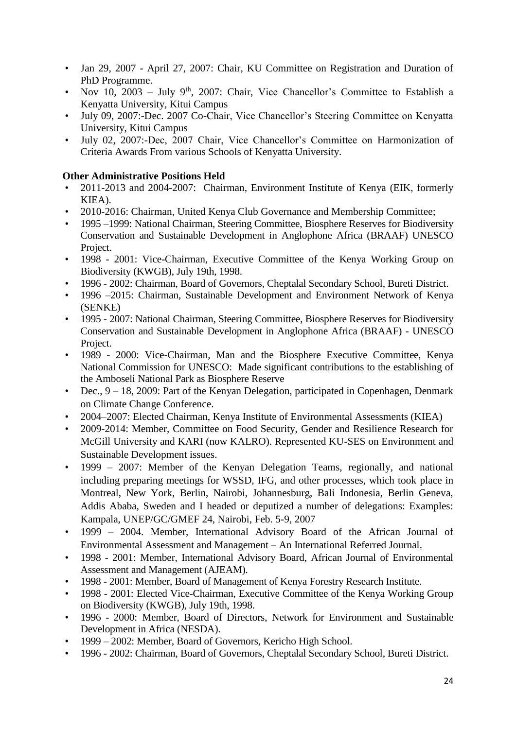- Jan 29, 2007 April 27, 2007: Chair, KU Committee on Registration and Duration of PhD Programme.
- Nov 10, 2003 July 9<sup>th</sup>, 2007: Chair, Vice Chancellor's Committee to Establish a Kenyatta University, Kitui Campus
- July 09, 2007:-Dec. 2007 Co-Chair, Vice Chancellor's Steering Committee on Kenyatta University, Kitui Campus
- July 02, 2007:-Dec, 2007 Chair, Vice Chancellor's Committee on Harmonization of Criteria Awards From various Schools of Kenyatta University.

## **Other Administrative Positions Held**

- 2011-2013 and 2004-2007: Chairman, Environment Institute of Kenya (EIK, formerly KIEA).
- 2010-2016: Chairman, United Kenya Club Governance and Membership Committee;
- 1995 –1999: National Chairman, Steering Committee, Biosphere Reserves for Biodiversity Conservation and Sustainable Development in Anglophone Africa (BRAAF) UNESCO Project.
- 1998 2001: Vice-Chairman, Executive Committee of the Kenya Working Group on Biodiversity (KWGB), July 19th, 1998.
- 1996 2002: Chairman, Board of Governors, Cheptalal Secondary School, Bureti District.
- 1996 –2015: Chairman, Sustainable Development and Environment Network of Kenya (SENKE)
- 1995 2007: National Chairman, Steering Committee, Biosphere Reserves for Biodiversity Conservation and Sustainable Development in Anglophone Africa (BRAAF) - UNESCO Project.
- 1989 2000: Vice-Chairman, Man and the Biosphere Executive Committee, Kenya National Commission for UNESCO: Made significant contributions to the establishing of the Amboseli National Park as Biosphere Reserve
- Dec., 9 18, 2009: Part of the Kenyan Delegation, participated in Copenhagen, Denmark on Climate Change Conference.
- 2004–2007: Elected Chairman, Kenya Institute of Environmental Assessments (KIEA)
- 2009-2014: Member, Committee on Food Security, Gender and Resilience Research for McGill University and KARI (now KALRO). Represented KU-SES on Environment and Sustainable Development issues.
- 1999 2007: Member of the Kenyan Delegation Teams, regionally, and national including preparing meetings for WSSD, IFG, and other processes, which took place in Montreal, New York, Berlin, Nairobi, Johannesburg, Bali Indonesia, Berlin Geneva, Addis Ababa, Sweden and I headed or deputized a number of delegations: Examples: Kampala, UNEP/GC/GMEF 24, Nairobi, Feb. 5-9, 2007
- 1999 2004. Member, International Advisory Board of the African Journal of Environmental Assessment and Management – An International Referred Journal.
- 1998 2001: Member, International Advisory Board, African Journal of Environmental Assessment and Management (AJEAM).
- 1998 2001: Member, Board of Management of Kenya Forestry Research Institute.
- 1998 2001: Elected Vice-Chairman, Executive Committee of the Kenya Working Group on Biodiversity (KWGB), July 19th, 1998.
- 1996 2000: Member, Board of Directors, Network for Environment and Sustainable Development in Africa (NESDA).
- 1999 2002: Member, Board of Governors, Kericho High School.
- 1996 2002: Chairman, Board of Governors, Cheptalal Secondary School, Bureti District.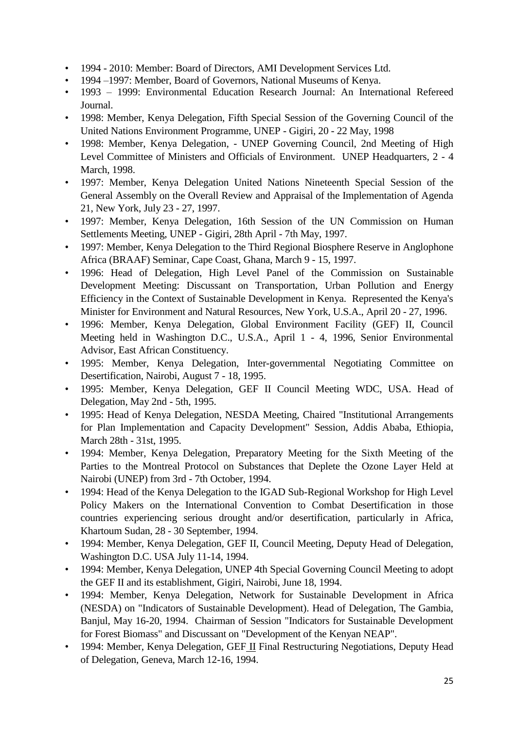- 1994 2010: Member: Board of Directors, AMI Development Services Ltd.
- 1994 –1997: Member, Board of Governors, National Museums of Kenya.
- 1993 1999: Environmental Education Research Journal: An International Refereed Journal.
- 1998: Member, Kenya Delegation, Fifth Special Session of the Governing Council of the United Nations Environment Programme, UNEP - Gigiri, 20 - 22 May, 1998
- 1998: Member, Kenya Delegation, UNEP Governing Council, 2nd Meeting of High Level Committee of Ministers and Officials of Environment. UNEP Headquarters, 2 - 4 March, 1998.
- 1997: Member, Kenya Delegation United Nations Nineteenth Special Session of the General Assembly on the Overall Review and Appraisal of the Implementation of Agenda 21, New York, July 23 - 27, 1997.
- 1997: Member, Kenya Delegation, 16th Session of the UN Commission on Human Settlements Meeting, UNEP - Gigiri, 28th April - 7th May, 1997.
- 1997: Member, Kenya Delegation to the Third Regional Biosphere Reserve in Anglophone Africa (BRAAF) Seminar, Cape Coast, Ghana, March 9 - 15, 1997.
- 1996: Head of Delegation, High Level Panel of the Commission on Sustainable Development Meeting: Discussant on Transportation, Urban Pollution and Energy Efficiency in the Context of Sustainable Development in Kenya. Represented the Kenya's Minister for Environment and Natural Resources, New York, U.S.A., April 20 - 27, 1996.
- 1996: Member, Kenya Delegation, Global Environment Facility (GEF) II, Council Meeting held in Washington D.C., U.S.A., April 1 - 4, 1996, Senior Environmental Advisor, East African Constituency.
- 1995: Member, Kenya Delegation, Inter-governmental Negotiating Committee on Desertification, Nairobi, August 7 - 18, 1995.
- 1995: Member, Kenya Delegation, GEF II Council Meeting WDC, USA. Head of Delegation, May 2nd - 5th, 1995.
- 1995: Head of Kenya Delegation, NESDA Meeting, Chaired "Institutional Arrangements for Plan Implementation and Capacity Development" Session, Addis Ababa, Ethiopia, March 28th - 31st, 1995.
- 1994: Member, Kenya Delegation, Preparatory Meeting for the Sixth Meeting of the Parties to the Montreal Protocol on Substances that Deplete the Ozone Layer Held at Nairobi (UNEP) from 3rd - 7th October, 1994.
- 1994: Head of the Kenya Delegation to the IGAD Sub-Regional Workshop for High Level Policy Makers on the International Convention to Combat Desertification in those countries experiencing serious drought and/or desertification, particularly in Africa, Khartoum Sudan, 28 - 30 September, 1994.
- 1994: Member, Kenya Delegation, GEF II, Council Meeting, Deputy Head of Delegation, Washington D.C. USA July 11-14, 1994.
- 1994: Member, Kenya Delegation, UNEP 4th Special Governing Council Meeting to adopt the GEF II and its establishment, Gigiri, Nairobi, June 18, 1994.
- 1994: Member, Kenya Delegation, Network for Sustainable Development in Africa (NESDA) on "Indicators of Sustainable Development). Head of Delegation, The Gambia, Banjul, May 16-20, 1994. Chairman of Session "Indicators for Sustainable Development for Forest Biomass" and Discussant on "Development of the Kenyan NEAP".
- 1994: Member, Kenya Delegation, GEF II Final Restructuring Negotiations, Deputy Head of Delegation, Geneva, March 12-16, 1994.